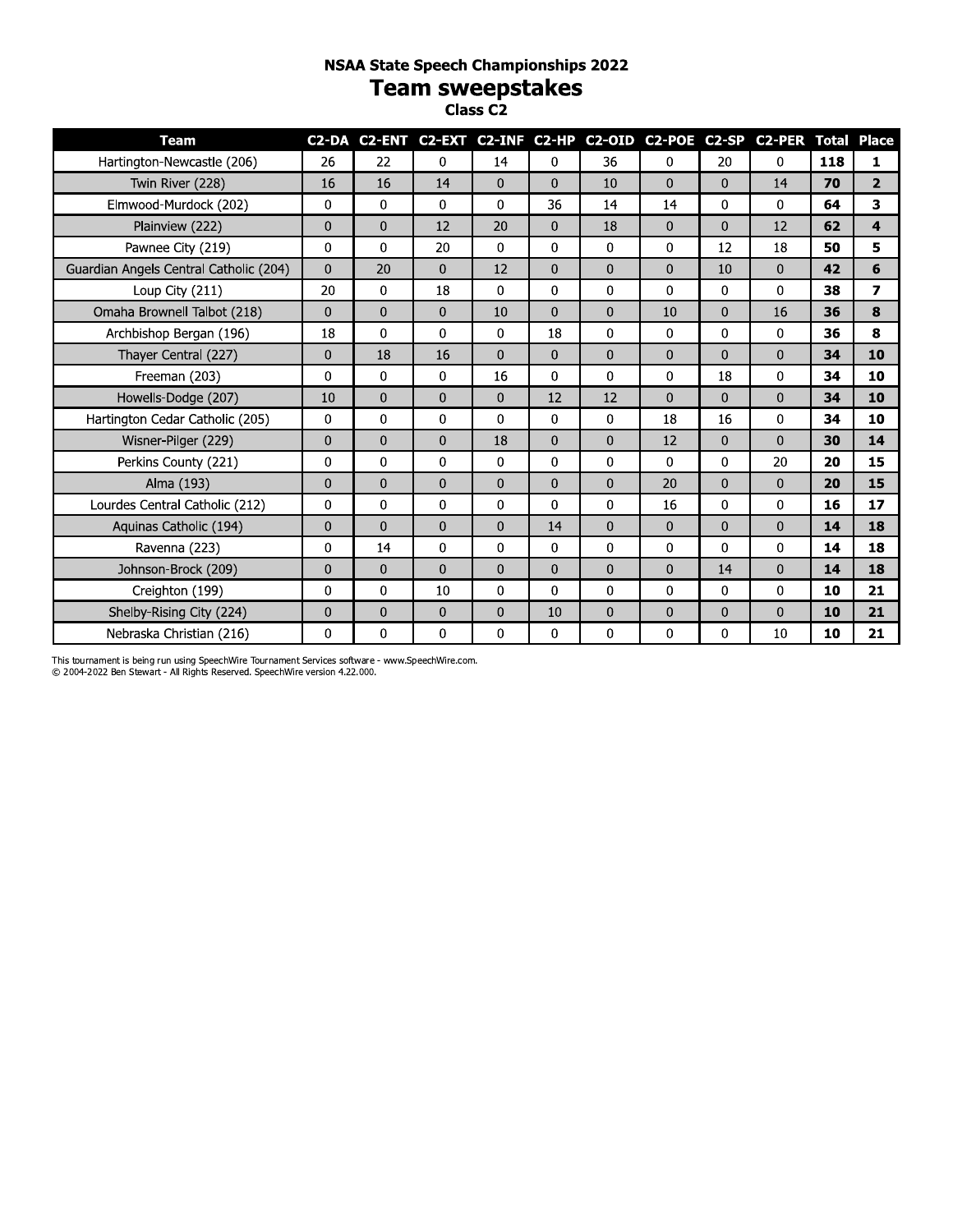# **NSAA State Speech Championships 2022** Team sweepstakes

| <b>Team</b>                            |              |              |              |              |                |                |              |              | C2-DA C2-ENT C2-EXT C2-INF C2-HP C2-OID C2-POE C2-SP C2-PER Total Place |     |                         |
|----------------------------------------|--------------|--------------|--------------|--------------|----------------|----------------|--------------|--------------|-------------------------------------------------------------------------|-----|-------------------------|
| Hartington-Newcastle (206)             | 26           | 22           | $\mathbf 0$  | 14           | $\Omega$       | 36             | 0            | 20           | $\Omega$                                                                | 118 | 1                       |
| Twin River (228)                       | 16           | 16           | 14           | $\Omega$     | $\mathbf{0}$   | 10             | $\Omega$     | 0            | 14                                                                      | 70  | $\overline{2}$          |
| Elmwood-Murdock (202)                  | $\mathbf{0}$ | $\mathbf{0}$ | $\mathbf{0}$ | 0            | 36             | 14             | 14           | 0            | $\Omega$                                                                | 64  | 3                       |
| Plainview (222)                        | $\mathbf{0}$ | $\Omega$     | 12           | 20           | $\overline{0}$ | 18             | $\mathbf{0}$ | $\Omega$     | 12                                                                      | 62  | $\overline{\mathbf{4}}$ |
| Pawnee City (219)                      | 0            | 0            | 20           | 0            | $\mathbf{0}$   | $\mathbf 0$    | 0            | 12           | 18                                                                      | 50  | 5                       |
| Guardian Angels Central Catholic (204) | $\mathbf 0$  | 20           | $\mathbf 0$  | 12           | $\mathbf{0}$   | $\overline{0}$ | $\mathbf 0$  | 10           | 0                                                                       | 42  | 6                       |
| Loup City (211)                        | 20           | 0            | 18           | 0            | 0              | 0              | 0            | 0            | 0                                                                       | 38  | $\overline{z}$          |
| Omaha Brownell Talbot (218)            | $\mathbf{0}$ | 0            | $\mathbf{0}$ | 10           | $\mathbf{0}$   | 0              | 10           | 0            | 16                                                                      | 36  | 8                       |
| Archbishop Bergan (196)                | 18           | 0            | $\mathbf{0}$ | 0            | 18             | $\Omega$       | 0            | 0            | 0                                                                       | 36  | 8                       |
| Thayer Central (227)                   | $\mathbf 0$  | 18           | 16           | $\mathbf{0}$ | $\mathbf{0}$   | $\overline{0}$ | $\Omega$     | $\mathbf{0}$ | 0                                                                       | 34  | 10                      |
| Freeman (203)                          | 0            | 0            | $\mathbf{0}$ | 16           | 0              | 0              | 0            | 18           | 0                                                                       | 34  | 10                      |
| Howells-Dodge (207)                    | 10           | 0            | $\mathbf{0}$ | $\mathbf 0$  | 12             | 12             | $\Omega$     | $\Omega$     | 0                                                                       | 34  | 10                      |
| Hartington Cedar Catholic (205)        | 0            | 0            | $\mathbf 0$  | $\Omega$     | $\mathbf{0}$   | 0              | 18           | 16           | 0                                                                       | 34  | 10                      |
| Wisner-Pilger (229)                    | $\mathbf 0$  | $\mathbf{0}$ | $\mathbf 0$  | 18           | $\mathbf{0}$   | $\overline{0}$ | 12           | 0            | 0                                                                       | 30  | 14                      |
| Perkins County (221)                   | $\mathbf{0}$ | $\Omega$     | $\mathbf{0}$ | $\Omega$     | $\mathbf{0}$   | $\Omega$       | $\Omega$     | $\Omega$     | 20                                                                      | 20  | 15                      |
| Alma (193)                             | $\mathbf{0}$ | 0            | $\mathbf{0}$ | $\mathbf 0$  | $\mathbf{0}$   | $\mathbf{0}$   | 20           | 0            | $\overline{0}$                                                          | 20  | 15                      |
| Lourdes Central Catholic (212)         | 0            | 0            | 0            | 0            | 0              | 0              | 16           | 0            | $\mathbf{0}$                                                            | 16  | 17                      |
| Aquinas Catholic (194)                 | $\mathbf 0$  | 0            | $\Omega$     | $\Omega$     | 14             | $\overline{0}$ | $\Omega$     | $\mathbf{0}$ | 0                                                                       | 14  | 18                      |
| Ravenna (223)                          | 0            | 14           | 0            | 0            | 0              | 0              | 0            | 0            | 0                                                                       | 14  | 18                      |
| Johnson-Brock (209)                    | $\mathbf 0$  | 0            | $\mathbf{0}$ | $\mathbf 0$  | $\mathbf{0}$   | 0              | $\mathbf{0}$ | 14           | 0                                                                       | 14  | 18                      |
| Creighton (199)                        | $\mathbf 0$  | 0            | 10           | $\Omega$     | $\Omega$       | $\Omega$       | $\Omega$     | 0            | $\Omega$                                                                | 10  | 21                      |
| Shelby-Rising City (224)               | 0            | 0            | $\mathbf{0}$ | $\mathbf{0}$ | 10             | 0              | $\mathbf 0$  | 0            | 0                                                                       | 10  | 21                      |
| Nebraska Christian (216)               | $\Omega$     | 0            | $\Omega$     | 0            | 0              | 0              | $\Omega$     | 0            | 10                                                                      | 10  | 21                      |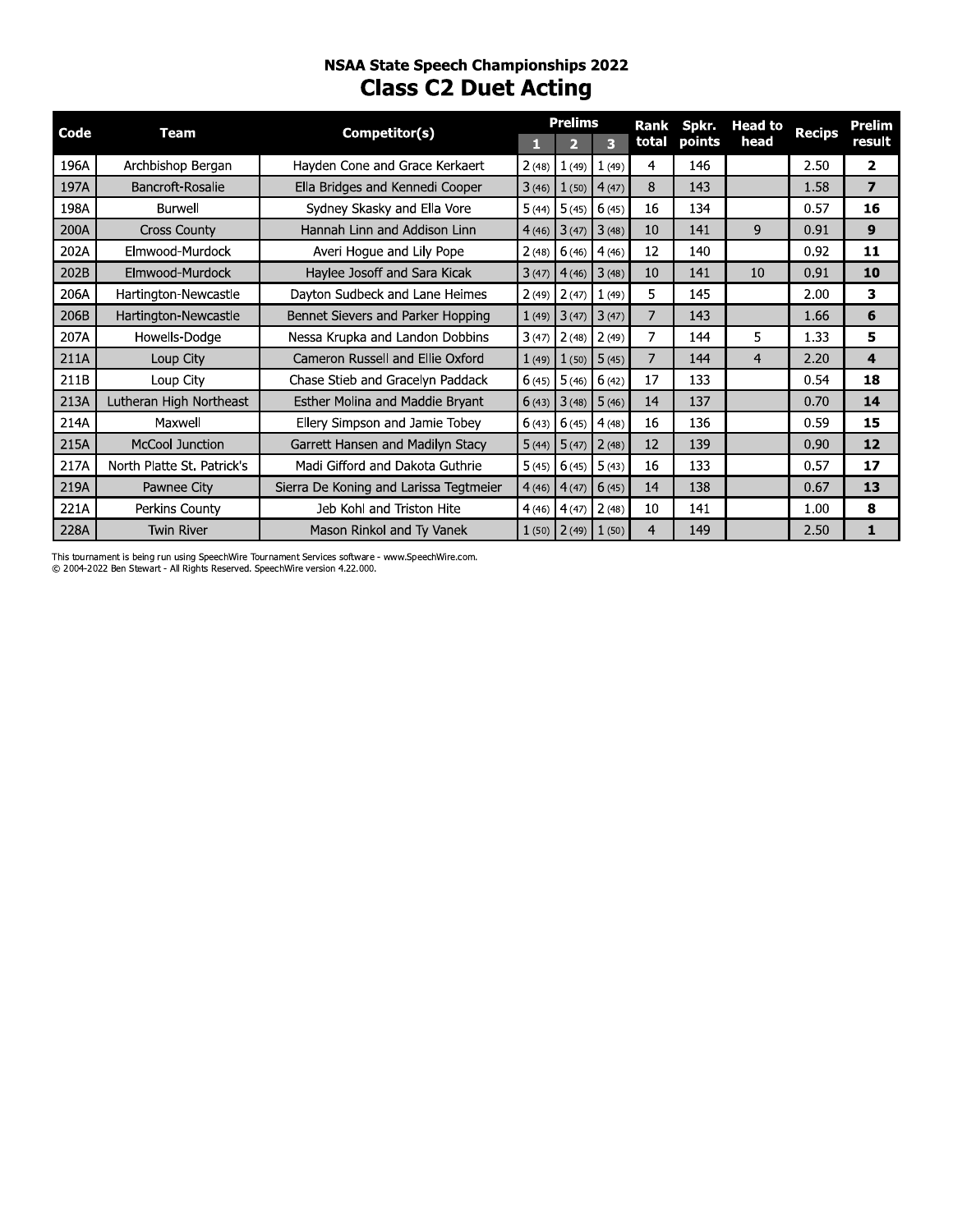# nsaa state speecn Championships 2022 **Class C2 Duet Acting**

| Code | <b>Team</b>                | Competitor(s)                          | П     | <b>Prelims</b><br>$\overline{2}$ | $\overline{\mathbf{3}}$ | <b>Rank</b><br>total | Spkr.<br>points | <b>Head to</b><br>head | <b>Recips</b> |
|------|----------------------------|----------------------------------------|-------|----------------------------------|-------------------------|----------------------|-----------------|------------------------|---------------|
| 196A | Archbishop Bergan          | Hayden Cone and Grace Kerkaert         |       | $2(48)$ 1(49)                    | 1(49)                   | $\overline{4}$       | 146             |                        | 2.50          |
| 197A | Bancroft-Rosalie           | Ella Bridges and Kennedi Cooper        |       | $3(46)$ $1(50)$ $4(47)$          |                         | 8                    | 143             |                        | 1.58          |
| 198A | Burwell                    | Sydney Skasky and Ella Vore            | 5(44) | 5(45)                            | 6(45)                   | 16                   | 134             |                        | 0.57          |
| 200A | <b>Cross County</b>        | Hannah Linn and Addison Linn           | 4(46) | 3(47)                            | 3(48)                   | 10                   | 141             | 9                      | 0.91          |
| 202A | Elmwood-Murdock            | Averi Hoque and Lily Pope              | 2(48) | 6(46)                            | 4(46)                   | 12                   | 140             |                        | 0.92          |
| 202B | Elmwood-Murdock            | Haylee Josoff and Sara Kicak           | 3(47) | 4(46)                            | 3(48)                   | 10                   | 141             | 10                     | 0.91          |
| 206A | Hartington-Newcastle       | Dayton Sudbeck and Lane Heimes         |       | $2(49)$ $2(47)$                  | 1(49)                   | 5                    | 145             |                        | 2.00          |
| 206B | Hartington-Newcastle       | Bennet Sievers and Parker Hopping      | 1(49) | $3(47)$ $3(47)$                  |                         | $\overline{7}$       | 143             |                        | 1.66          |
| 207A | Howells-Dodge              | Nessa Krupka and Landon Dobbins        |       | $3(47)$ $2(48)$ $2(49)$          |                         | $\overline{7}$       | 144             | 5                      | 1.33          |
| 211A | Loup City                  | Cameron Russell and Ellie Oxford       | 1(49) | 1(50)                            | 5(45)                   | $\overline{7}$       | 144             | $\overline{4}$         | 2.20          |
| 211B | Loup City                  | Chase Stieb and Gracelyn Paddack       |       | $6(45)$ 5 (46)                   | 6(42)                   | 17                   | 133             |                        | 0.54          |
| 213A | Lutheran High Northeast    | Esther Molina and Maddie Brvant        | 6(43) |                                  | $3(48)$ 5 (46)          | 14                   | 137             |                        | 0.70          |
| 214A | Maxwell                    | Ellery Simpson and Jamie Tobey         |       | 6(43) 6(45)                      | 4(48)                   | 16                   | 136             |                        | 0.59          |
| 215A | <b>McCool Junction</b>     | Garrett Hansen and Madilyn Stacy       |       | $5(44)$ $5(47)$ $2(48)$          |                         | 12                   | 139             |                        | 0.90          |
| 217A | North Platte St. Patrick's | Madi Gifford and Dakota Guthrie        | 5(45) | $6(45)$ 5 (43)                   |                         | 16                   | 133             |                        | 0.57          |
| 219A | Pawnee City                | Sierra De Koning and Larissa Tegtmeier |       | $4(46)$ $4(47)$ 6 (45)           |                         | 14                   | 138             |                        | 0.67          |
| 221A | Perkins County             | Jeb Kohl and Triston Hite              | 4(46) | 4(47)                            | 2(48)                   | 10                   | 141             |                        | 1.00          |
| 228A | <b>Twin River</b>          | Mason Rinkol and Ty Vanek              | 1(50) |                                  | $2(49)$ $1(50)$         | $\overline{4}$       | 149             |                        | 2.50          |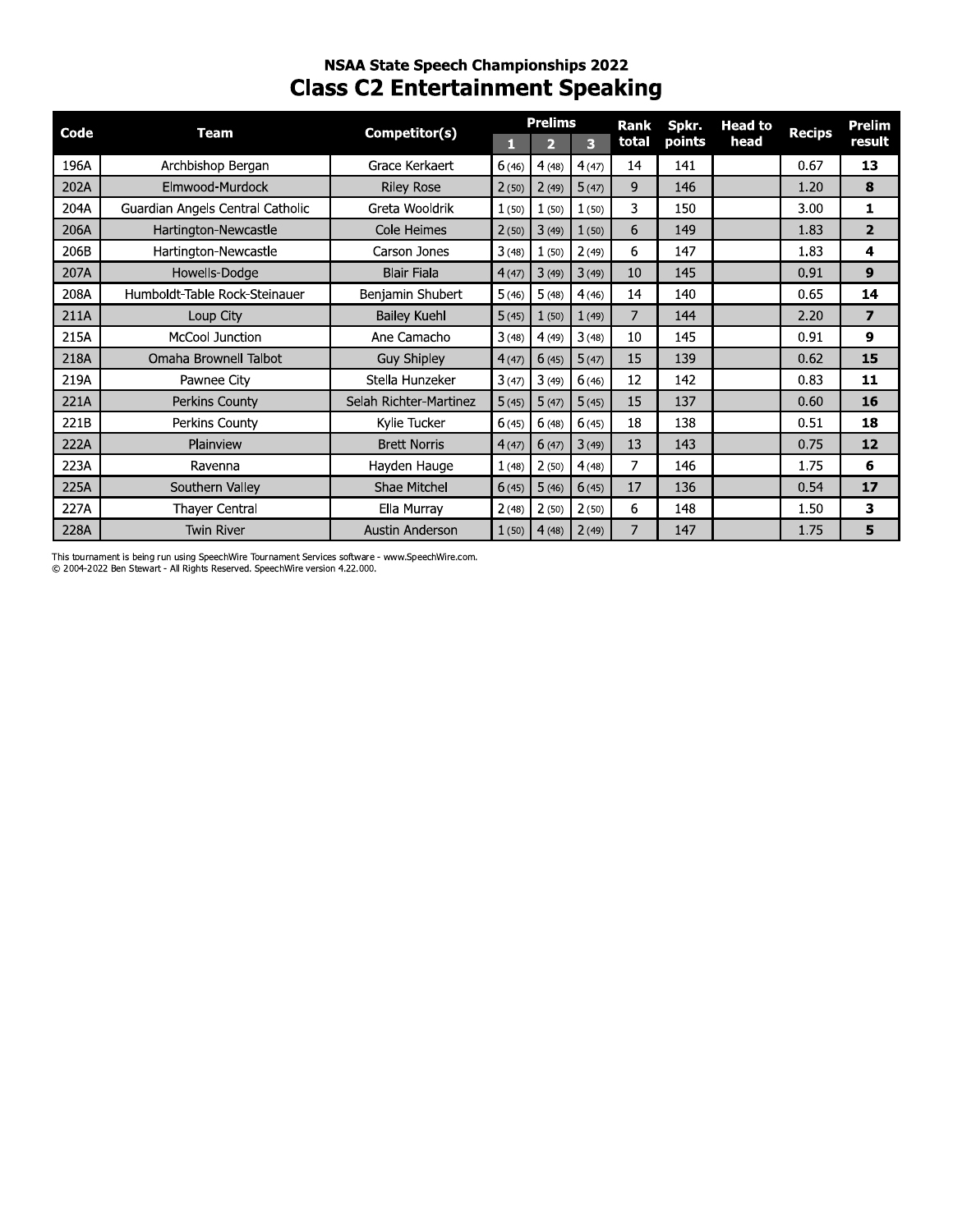# **NSAA State Speech Championships 2022 Class C2 Entertainment Speaking**

| Code | Team                             | Competitor(s)          |       | <b>Prelims</b> |       | Rank  | Spkr.  | <b>Head to</b> | <b>Recips</b> | Prelim         |
|------|----------------------------------|------------------------|-------|----------------|-------|-------|--------|----------------|---------------|----------------|
|      |                                  |                        | п     | $\overline{2}$ | G,    | total | points | head           |               | result         |
| 196A | Archbishop Bergan                | Grace Kerkaert         | 6(46) | 4(48)          | 4(47) | 14    | 141    |                | 0.67          | 13             |
| 202A | Elmwood-Murdock                  | <b>Riley Rose</b>      | 2(50) | 2(49)          | 5(47) | 9     | 146    |                | 1.20          | 8              |
| 204A | Guardian Angels Central Catholic | Greta Wooldrik         | 1(50) | 1(50)          | 1(50) | 3     | 150    |                | 3.00          | 1              |
| 206A | Hartington-Newcastle             | Cole Heimes            | 2(50) | 3(49)          | 1(50) | 6     | 149    |                | 1.83          | $\overline{2}$ |
| 206B | Hartington-Newcastle             | Carson Jones           | 3(48) | 1(50)          | 2(49) | 6     | 147    |                | 1.83          | 4              |
| 207A | Howells-Dodge                    | <b>Blair Fiala</b>     | 4(47) | 3(49)          | 3(49) | 10    | 145    |                | 0.91          | 9              |
| 208A | Humboldt-Table Rock-Steinauer    | Benjamin Shubert       | 5(46) | 5(48)          | 4(46) | 14    | 140    |                | 0.65          | 14             |
| 211A | Loup City                        | <b>Bailey Kuehl</b>    | 5(45) | 1(50)          | 1(49) | 7     | 144    |                | 2.20          | 7              |
| 215A | <b>McCool Junction</b>           | Ane Camacho            | 3(48) | 4(49)          | 3(48) | 10    | 145    |                | 0.91          | 9              |
| 218A | Omaha Brownell Talbot            | Guy Shipley            | 4(47) | 6(45)          | 5(47) | 15    | 139    |                | 0.62          | 15             |
| 219A | Pawnee City                      | Stella Hunzeker        | 3(47) | 3(49)          | 6(46) | 12    | 142    |                | 0.83          | 11             |
| 221A | Perkins County                   | Selah Richter-Martinez | 5(45) | 5(47)          | 5(45) | 15    | 137    |                | 0.60          | 16             |
| 221B | Perkins County                   | Kylie Tucker           | 6(45) | 6(48)          | 6(45) | 18    | 138    |                | 0.51          | 18             |
| 222A | Plainview                        | <b>Brett Norris</b>    | 4(47) | 6(47)          | 3(49) | 13    | 143    |                | 0.75          | 12             |
| 223A | Ravenna                          | Hayden Hauge           | 1(48) | 2(50)          | 4(48) | 7     | 146    |                | 1.75          | 6              |
| 225A | Southern Valley                  | Shae Mitchel           | 6(45) | 5(46)          | 6(45) | 17    | 136    |                | 0.54          | 17             |
| 227A | <b>Thayer Central</b>            | Ella Murray            | 2(48) | 2(50)          | 2(50) | 6     | 148    |                | 1.50          | 3              |
| 228A | <b>Twin River</b>                | Austin Anderson        | 1(50) | 4(48)          | 2(49) |       | 147    |                | 1.75          | 5              |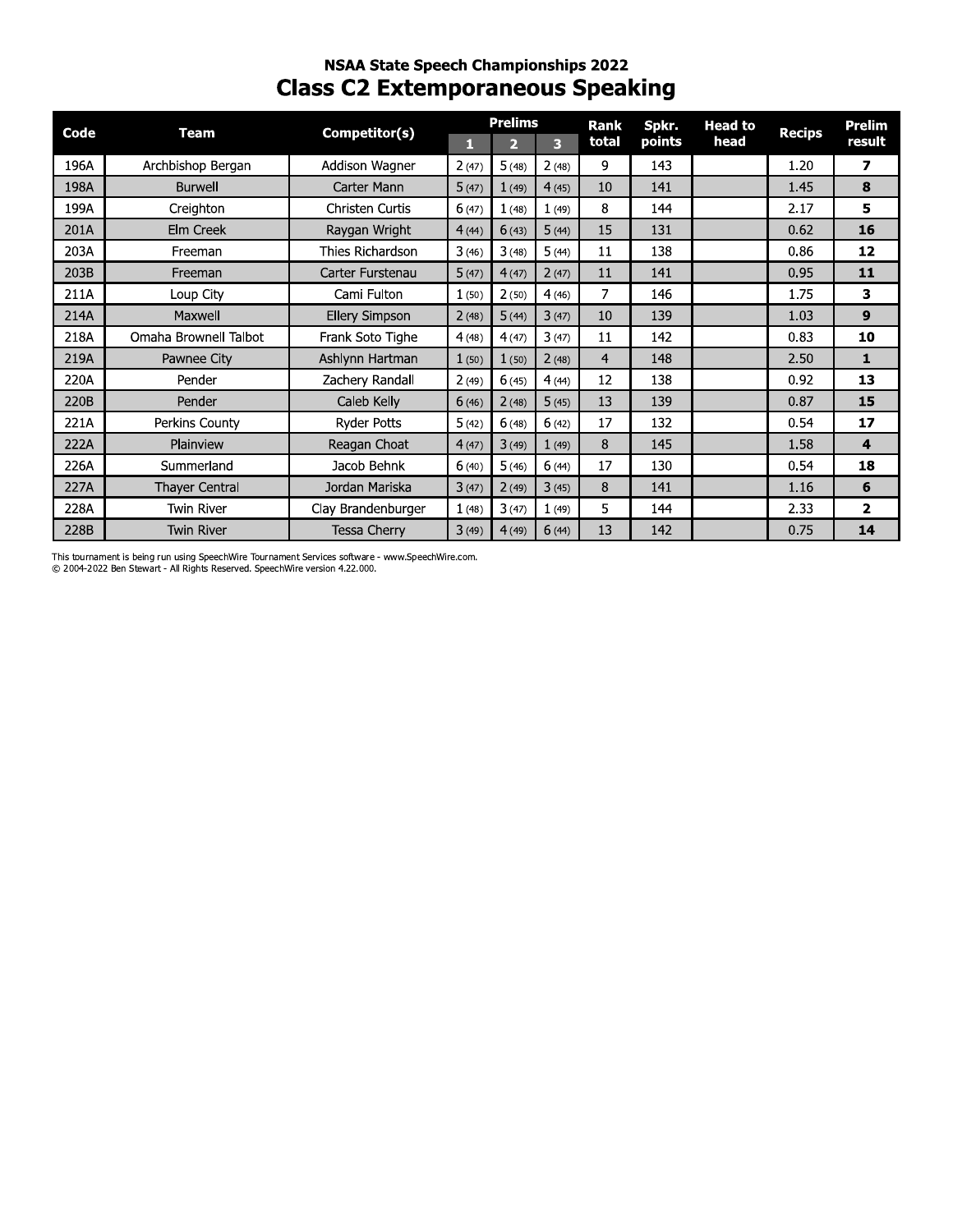# **NSAA State Speech Championships 2022 Class C2 Extemporaneous Speaking**

| Code | <b>Team</b>           | Competitor(s)         |       | <b>Prelims</b> |       | Rank  | Spkr.  | <b>Head to</b> | <b>Recips</b> | Prelim                  |
|------|-----------------------|-----------------------|-------|----------------|-------|-------|--------|----------------|---------------|-------------------------|
|      |                       |                       | П     | $\overline{2}$ | 3     | total | points | head           |               | result                  |
| 196A | Archbishop Bergan     | Addison Wagner        | 2(47) | 5(48)          | 2(48) | 9     | 143    |                | 1.20          | $\overline{\mathbf{z}}$ |
| 198A | <b>Burwell</b>        | Carter Mann           | 5(47) | 1(49)          | 4(45) | 10    | 141    |                | 1.45          | 8                       |
| 199A | Creighton             | Christen Curtis       | 6(47) | 1(48)          | 1(49) | 8     | 144    |                | 2.17          | 5                       |
| 201A | Elm Creek             | Raygan Wright         | 4(44) | 6(43)          | 5(44) | 15    | 131    |                | 0.62          | 16                      |
| 203A | Freeman               | Thies Richardson      | 3(46) | 3(48)          | 5(44) | 11    | 138    |                | 0.86          | 12                      |
| 203B | Freeman               | Carter Furstenau      | 5(47) | 4(47)          | 2(47) | 11    | 141    |                | 0.95          | 11                      |
| 211A | Loup City             | Cami Fulton           | 1(50) | 2(50)          | 4(46) | 7     | 146    |                | 1.75          | 3                       |
| 214A | Maxwell               | <b>Ellery Simpson</b> | 2(48) | 5(44)          | 3(47) | 10    | 139    |                | 1.03          | 9                       |
| 218A | Omaha Brownell Talbot | Frank Soto Tighe      | 4(48) | 4(47)          | 3(47) | 11    | 142    |                | 0.83          | 10                      |
| 219A | Pawnee City           | Ashlynn Hartman       | 1(50) | 1(50)          | 2(48) | 4     | 148    |                | 2.50          | $\mathbf{1}$            |
| 220A | Pender                | Zachery Randall       | 2(49) | 6(45)          | 4(44) | 12    | 138    |                | 0.92          | 13                      |
| 220B | Pender                | Caleb Kelly           | 6(46) | 2(48)          | 5(45) | 13    | 139    |                | 0.87          | 15                      |
| 221A | Perkins County        | <b>Ryder Potts</b>    | 5(42) | 6(48)          | 6(42) | 17    | 132    |                | 0.54          | 17                      |
| 222A | Plainview             | Reagan Choat          | 4(47) | 3(49)          | 1(49) | 8     | 145    |                | 1.58          | 4                       |
| 226A | Summerland            | Jacob Behnk           | 6(40) | 5(46)          | 6(44) | 17    | 130    |                | 0.54          | 18                      |
| 227A | Thayer Central        | Jordan Mariska        | 3(47) | 2(49)          | 3(45) | 8     | 141    |                | 1.16          | 6                       |
| 228A | <b>Twin River</b>     | Clay Brandenburger    | 1(48) | 3(47)          | 1(49) | 5     | 144    |                | 2.33          | $\overline{\mathbf{2}}$ |
| 228B | <b>Twin River</b>     | <b>Tessa Cherry</b>   | 3(49) | 4(49)          | 6(44) | 13    | 142    |                | 0.75          | 14                      |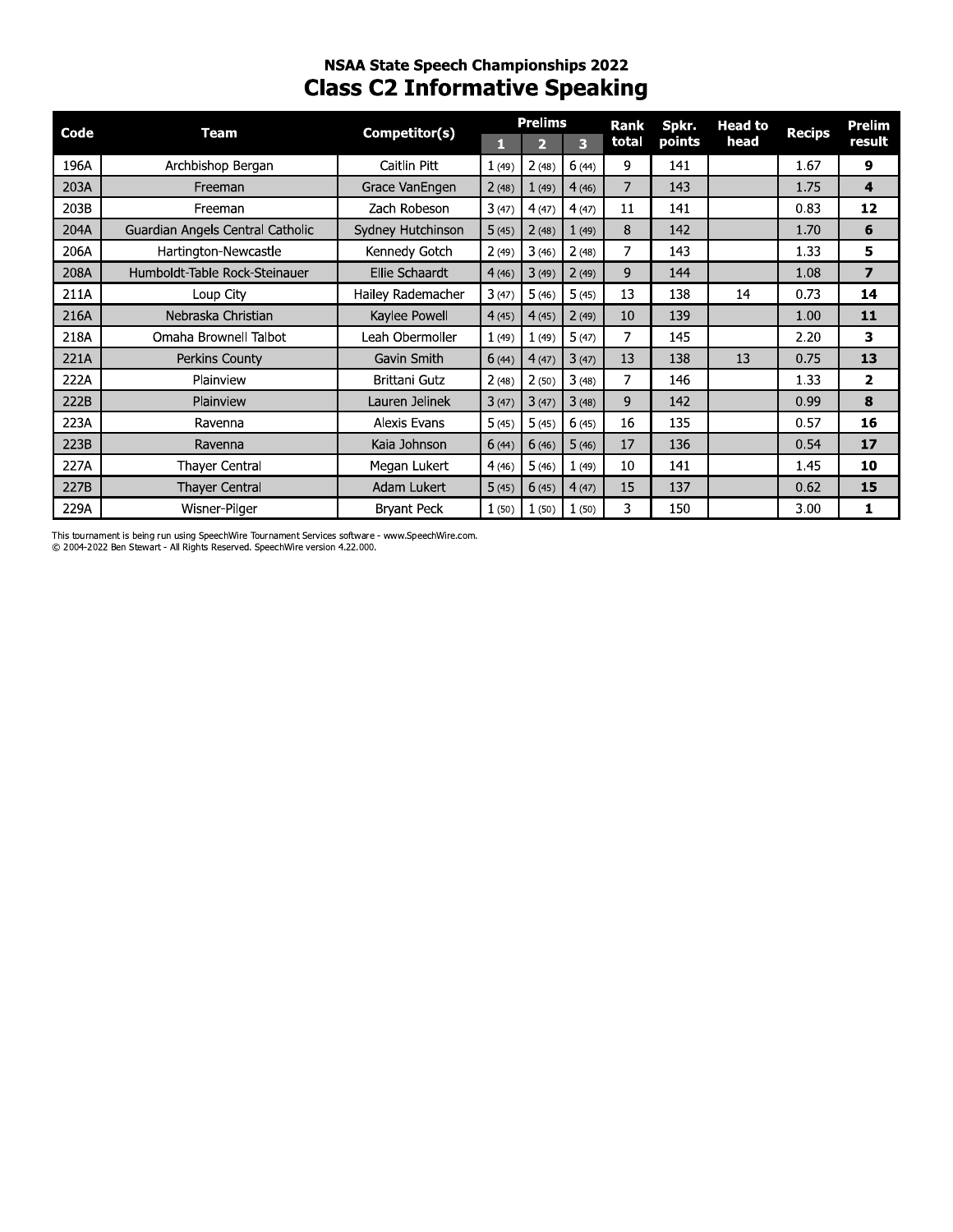# **NSAA State Speech Championships 2022 Class C2 Informative Speaking**

| <b>Code</b> | <b>Team</b>                      | Competitor(s)       |       | <b>Prelims</b> |       | <b>Rank</b> | Spkr.  | <b>Head to</b> | <b>Recips</b> | Prelim       |
|-------------|----------------------------------|---------------------|-------|----------------|-------|-------------|--------|----------------|---------------|--------------|
|             |                                  |                     | П     | 2              | 3     | total       | points | head           |               | result       |
| 196A        | Archbishop Bergan                | Caitlin Pitt        | 1(49) | 2(48)          | 6(44) | 9           | 141    |                | 1.67          | 9            |
| 203A        | Freeman                          | Grace VanEngen      | 2(48) | 1(49)          | 4(46) | 7           | 143    |                | 1.75          | 4            |
| 203B        | Freeman                          | Zach Robeson        | 3(47) | 4(47)          | 4(47) | 11          | 141    |                | 0.83          | 12           |
| 204A        | Guardian Angels Central Catholic | Sydney Hutchinson   | 5(45) | 2(48)          | 1(49) | 8           | 142    |                | 1.70          | 6            |
| 206A        | Hartington-Newcastle             | Kennedy Gotch       | 2(49) | 3(46)          | 2(48) | 7           | 143    |                | 1.33          | 5            |
| 208A        | Humboldt-Table Rock-Steinauer    | Ellie Schaardt      | 4(46) | 3(49)          | 2(49) | 9           | 144    |                | 1.08          | 7            |
| 211A        | Loup City                        | Hailey Rademacher   | 3(47) | 5(46)          | 5(45) | 13          | 138    | 14             | 0.73          | 14           |
| 216A        | Nebraska Christian               | Kaylee Powell       | 4(45) | 4(45)          | 2(49) | 10          | 139    |                | 1.00          | 11           |
| 218A        | Omaha Brownell Talbot            | Leah Obermoller     | 1(49) | 1(49)          | 5(47) | 7           | 145    |                | 2.20          | 3            |
| 221A        | Perkins County                   | Gavin Smith         | 6(44) | 4(47)          | 3(47) | 13          | 138    | 13             | 0.75          | 13           |
| 222A        | Plainview                        | Brittani Gutz       | 2(48) | 2(50)          | 3(48) | 7           | 146    |                | 1.33          | $\mathbf{z}$ |
| 222B        | Plainview                        | Lauren Jelinek      | 3(47) | 3(47)          | 3(48) | 9           | 142    |                | 0.99          | 8            |
| 223A        | Ravenna                          | <b>Alexis Evans</b> | 5(45) | 5(45)          | 6(45) | 16          | 135    |                | 0.57          | 16           |
| 223B        | Ravenna                          | Kaia Johnson        | 6(44) | 6(46)          | 5(46) | 17          | 136    |                | 0.54          | 17           |
| 227A        | <b>Thayer Central</b>            | Megan Lukert        | 4(46) | 5(46)          | 1(49) | 10          | 141    |                | 1.45          | 10           |
| 227B        | <b>Thayer Central</b>            | Adam Lukert         | 5(45) | 6(45)          | 4(47) | 15          | 137    |                | 0.62          | 15           |
| 229A        | Wisner-Pilger                    | <b>Bryant Peck</b>  | 1(50) | 1(50)          | 1(50) | 3           | 150    |                | 3.00          | 1            |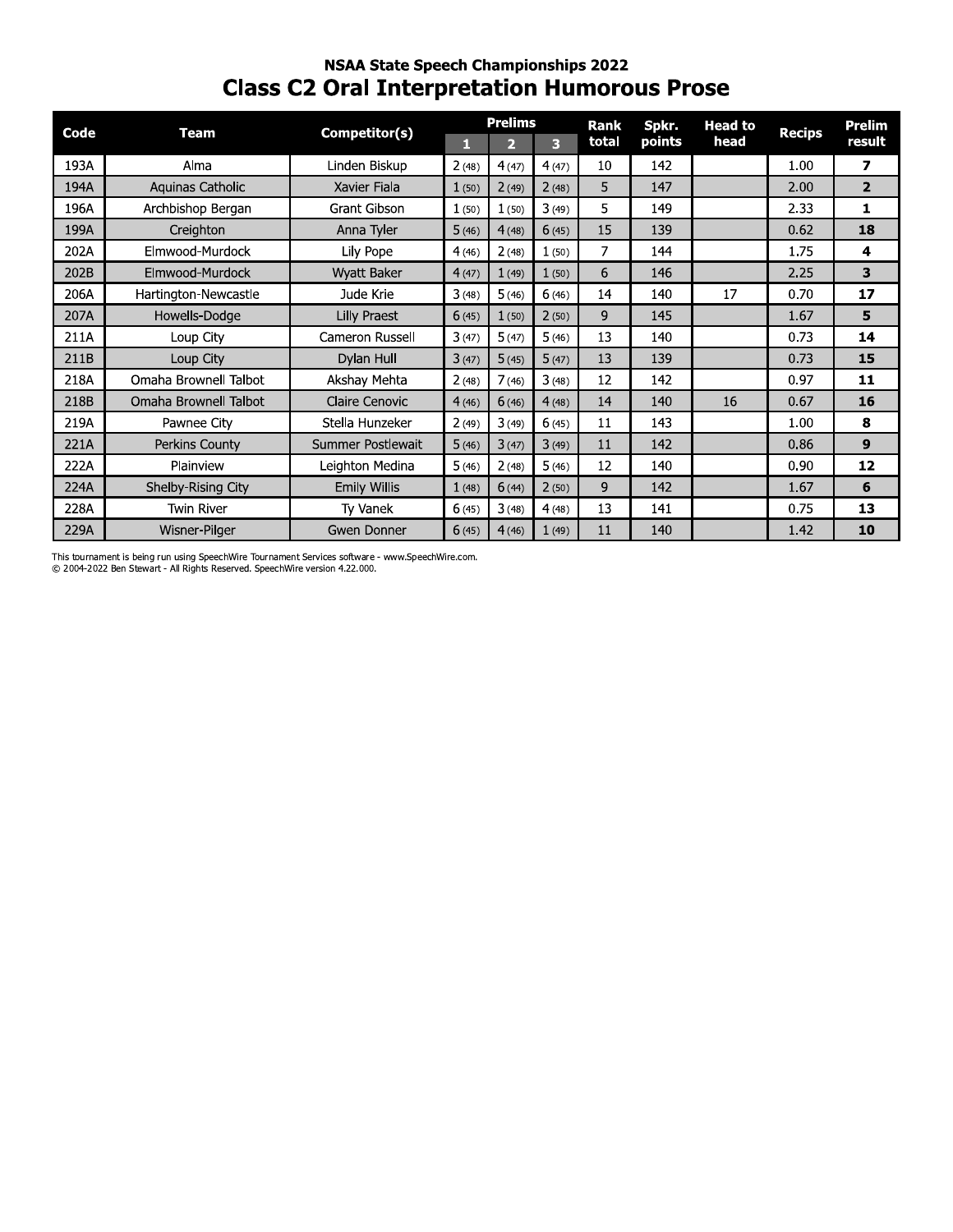# **NSAA State Speech Championships 2022 Class C2 Oral Interpretation Humorous Prose**

| Code | <b>Team</b>           | Competitor(s)         |       | <b>Prelims</b> |       | Rank  | Spkr.  | <b>Head to</b> | <b>Recips</b> | Prelim         |
|------|-----------------------|-----------------------|-------|----------------|-------|-------|--------|----------------|---------------|----------------|
|      |                       |                       | T۱    | 2              | 3     | total | points | head           |               | result         |
| 193A | Alma                  | Linden Biskup         | 2(48) | 4(47)          | 4(47) | 10    | 142    |                | 1.00          | 7              |
| 194A | Aquinas Catholic      | Xavier Fiala          | 1(50) | 2(49)          | 2(48) | 5     | 147    |                | 2.00          | $\overline{2}$ |
| 196A | Archbishop Bergan     | <b>Grant Gibson</b>   | 1(50) | 1(50)          | 3(49) | 5     | 149    |                | 2.33          | 1              |
| 199A | Creighton             | Anna Tyler            | 5(46) | 4(48)          | 6(45) | 15    | 139    |                | 0.62          | 18             |
| 202A | Elmwood-Murdock       | Lily Pope             | 4(46) | 2(48)          | 1(50) | 7     | 144    |                | 1.75          | 4              |
| 202B | Elmwood-Murdock       | Wyatt Baker           | 4(47) | 1(49)          | 1(50) | 6     | 146    |                | 2.25          | 3              |
| 206A | Hartington-Newcastle  | Jude Krie             | 3(48) | 5(46)          | 6(46) | 14    | 140    | 17             | 0.70          | 17             |
| 207A | Howells-Dodge         | Lilly Praest          | 6(45) | 1(50)          | 2(50) | 9     | 145    |                | 1.67          | 5              |
| 211A | Loup City             | Cameron Russell       | 3(47) | 5(47)          | 5(46) | 13    | 140    |                | 0.73          | 14             |
| 211B | Loup City             | Dylan Hull            | 3(47) | 5(45)          | 5(47) | 13    | 139    |                | 0.73          | 15             |
| 218A | Omaha Brownell Talbot | Akshay Mehta          | 2(48) | 7(46)          | 3(48) | 12    | 142    |                | 0.97          | 11             |
| 218B | Omaha Brownell Talbot | <b>Claire Cenovic</b> | 4(46) | 6(46)          | 4(48) | 14    | 140    | 16             | 0.67          | 16             |
| 219A | Pawnee City           | Stella Hunzeker       | 2(49) | 3(49)          | 6(45) | 11    | 143    |                | 1.00          | 8              |
| 221A | Perkins County        | Summer Postlewait     | 5(46) | 3(47)          | 3(49) | 11    | 142    |                | 0.86          | 9              |
| 222A | Plainview             | Leighton Medina       | 5(46) | 2(48)          | 5(46) | 12    | 140    |                | 0.90          | 12             |
| 224A | Shelby-Rising City    | <b>Emily Willis</b>   | 1(48) | 6(44)          | 2(50) | 9     | 142    |                | 1.67          | 6              |
| 228A | <b>Twin River</b>     | Ty Vanek              | 6(45) | 3(48)          | 4(48) | 13    | 141    |                | 0.75          | 13             |
| 229A | Wisner-Pilger         | Gwen Donner           | 6(45) | 4(46)          | 1(49) | 11    | 140    |                | 1.42          | 10             |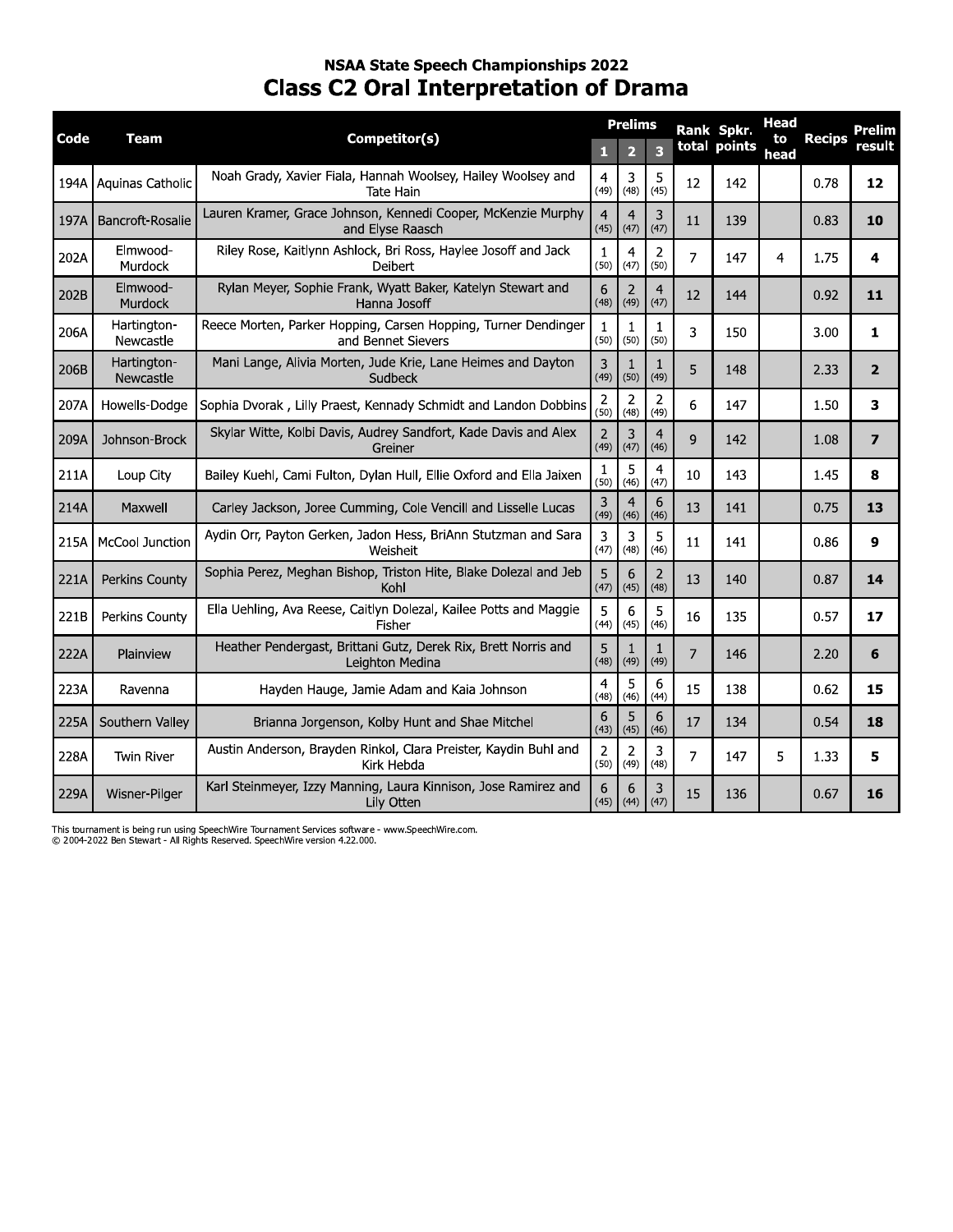# **NSAA State Speech Championships 2022 Class C2 Oral Interpretation of Drama**

| Code | Team                     | Competitor(s)                                                                        | $\mathbf{1}$           | <b>Prelims</b><br>$\overline{2}$ | 3                      |                | Rank Spkr.<br>total points | <b>Head</b><br>to<br>head | <b>Recips</b> | Prelim<br>result |
|------|--------------------------|--------------------------------------------------------------------------------------|------------------------|----------------------------------|------------------------|----------------|----------------------------|---------------------------|---------------|------------------|
| 194A | Aquinas Catholic         | Noah Grady, Xavier Fiala, Hannah Woolsey, Hailey Woolsey and<br><b>Tate Hain</b>     | $\overline{4}$<br>(49) | 3<br>(48)                        | 5<br>(45)              | 12             | 142                        |                           | 0.78          | 12               |
| 197A | Bancroft-Rosalie         | Lauren Kramer, Grace Johnson, Kennedi Cooper, McKenzie Murphy<br>and Elyse Raasch    | $\overline{4}$<br>(45) | $\overline{4}$<br>(47)           | 3<br>(47)              | 11             | 139                        |                           | 0.83          | 10               |
| 202A | Elmwood-<br>Murdock      | Riley Rose, Kaitlynn Ashlock, Bri Ross, Haylee Josoff and Jack<br>Deibert            | $\mathbf{1}$<br>(50)   | $\overline{4}$<br>(47)           | $\overline{2}$<br>(50) | 7              | 147                        | 4                         | 1.75          | 4                |
| 202B | Elmwood-<br>Murdock      | Rylan Meyer, Sophie Frank, Wyatt Baker, Katelyn Stewart and<br>Hanna Josoff          | 6<br>(48)              | $\overline{2}$<br>(49)           | $\overline{4}$<br>(47) | 12             | 144                        |                           | 0.92          | 11               |
| 206A | Hartington-<br>Newcastle | Reece Morten, Parker Hopping, Carsen Hopping, Turner Dendinger<br>and Bennet Sievers | 1<br>(50)              | 1<br>(50)                        | 1<br>(50)              | 3              | 150                        |                           | 3.00          | 1                |
| 206B | Hartington-<br>Newcastle | Mani Lange, Alivia Morten, Jude Krie, Lane Heimes and Dayton<br>Sudbeck              | 3<br>(49)              | 1<br>(50)                        | 1<br>(49)              | 5              | 148                        |                           | 2.33          | $\overline{2}$   |
| 207A | Howells-Dodge            | Sophia Dvorak, Lilly Praest, Kennady Schmidt and Landon Dobbins                      | $\overline{2}$<br>(50) | $\overline{2}$<br>(48)           | $\overline{2}$<br>(49) | 6              | 147                        |                           | 1.50          | 3                |
| 209A | Johnson-Brock            | Skylar Witte, Kolbi Davis, Audrey Sandfort, Kade Davis and Alex<br>Greiner           | $\overline{2}$<br>(49) | 3<br>(47)                        | $\overline{4}$<br>(46) | 9              | 142                        |                           | 1.08          | $\overline{7}$   |
| 211A | Loup City                | Bailey Kuehl, Cami Fulton, Dylan Hull, Ellie Oxford and Ella Jaixen                  | $\mathbf{1}$<br>(50)   | 5<br>(46)                        | $\overline{4}$<br>(47) | 10             | 143                        |                           | 1.45          | 8                |
| 214A | Maxwell                  | Carley Jackson, Joree Cumming, Cole Vencill and Lisselle Lucas                       | 3<br>(49)              | $\overline{4}$<br>(46)           | 6<br>(46)              | 13             | 141                        |                           | 0.75          | 13               |
| 215A | <b>McCool Junction</b>   | Aydin Orr, Payton Gerken, Jadon Hess, BriAnn Stutzman and Sara<br>Weisheit           | 3<br>(47)              | 3<br>(48)                        | 5<br>(46)              | 11             | 141                        |                           | 0.86          | 9                |
| 221A | Perkins County           | Sophia Perez, Meghan Bishop, Triston Hite, Blake Dolezal and Jeb<br>Kohl             | 5<br>(47)              | 6<br>(45)                        | $\overline{2}$<br>(48) | 13             | 140                        |                           | 0.87          | 14               |
| 221B | Perkins County           | Ella Uehling, Ava Reese, Caitlyn Dolezal, Kailee Potts and Maggie<br>Fisher          | 5<br>(44)              | 6<br>(45)                        | 5<br>(46)              | 16             | 135                        |                           | 0.57          | 17               |
| 222A | Plainview                | Heather Pendergast, Brittani Gutz, Derek Rix, Brett Norris and<br>Leighton Medina    | 5<br>(48)              | 1<br>(49)                        | 1<br>(49)              | $\overline{7}$ | 146                        |                           | 2.20          | 6                |
| 223A | Ravenna                  | Hayden Hauge, Jamie Adam and Kaia Johnson                                            | $\overline{4}$<br>(48) | 5<br>(46)                        | 6<br>(44)              | 15             | 138                        |                           | 0.62          | 15               |
| 225A | Southern Valley          | Brianna Jorgenson, Kolby Hunt and Shae Mitchel                                       | 6<br>(43)              | 5<br>(45)                        | 6<br>(46)              | 17             | 134                        |                           | 0.54          | 18               |
| 228A | <b>Twin River</b>        | Austin Anderson, Brayden Rinkol, Clara Preister, Kaydin Buhl and<br>Kirk Hebda       | 2<br>(50)              | 2<br>(49)                        | 3<br>(48)              | $\overline{7}$ | 147                        | 5                         | 1.33          | 5                |
| 229A | Wisner-Pilger            | Karl Steinmeyer, Izzy Manning, Laura Kinnison, Jose Ramirez and<br>Lily Otten        | 6                      | 6<br>$(45)$ (44)                 | 3<br>(47)              | 15             | 136                        |                           | 0.67          | 16               |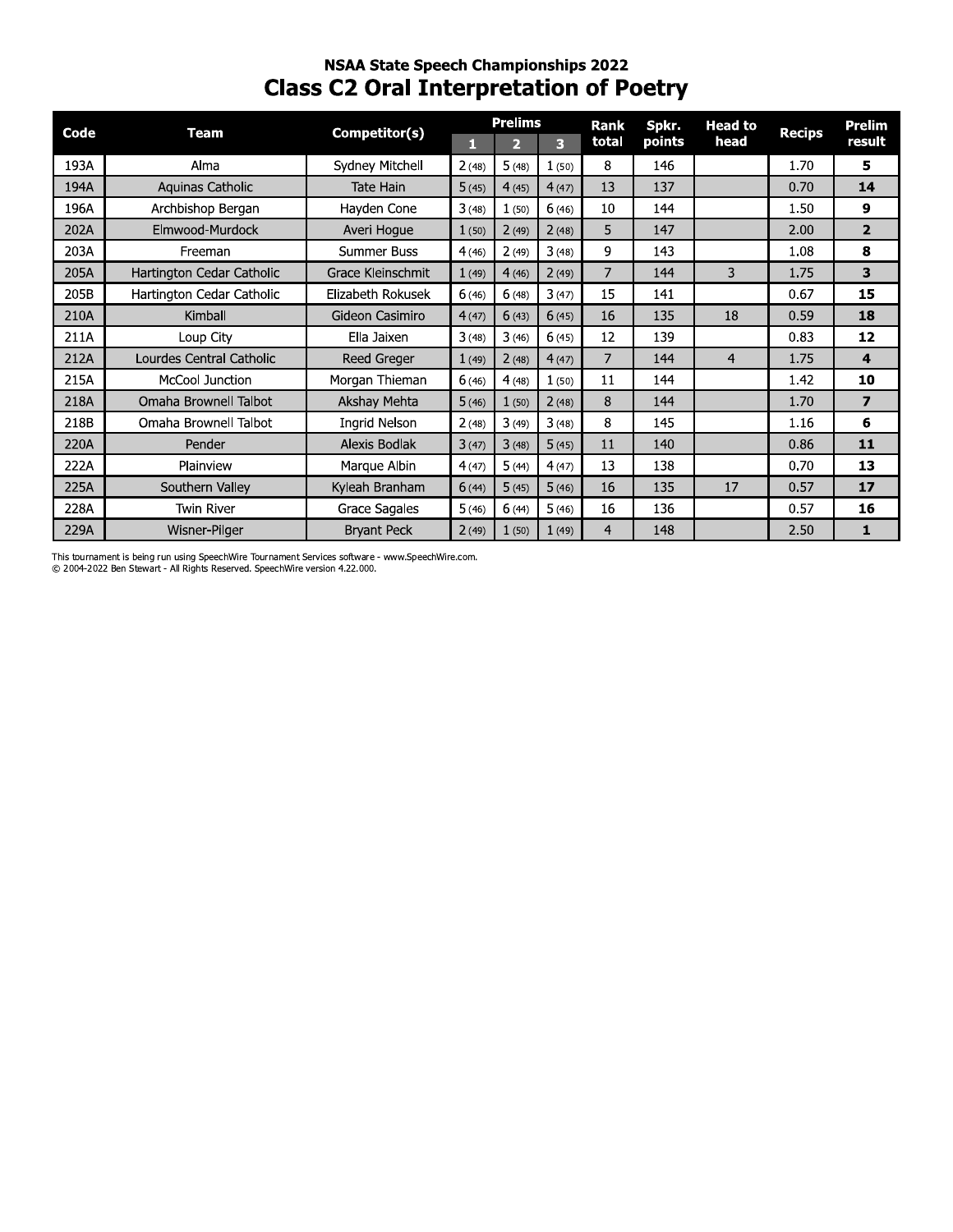# **NSAA State Speech Championships 2022 Class C2 Oral Interpretation of Poetry**

| Code | <b>Team</b>               | Competitor(s)        |       | <b>Prelims</b> |                         | Rank           | Spkr.  | <b>Head to</b> | <b>Recips</b> | <b>Prelim</b>  |
|------|---------------------------|----------------------|-------|----------------|-------------------------|----------------|--------|----------------|---------------|----------------|
|      |                           |                      | п     | $\overline{2}$ | $\overline{\mathbf{3}}$ | total          | points | head           |               | result         |
| 193A | Alma                      | Sydney Mitchell      | 2(48) | 5(48)          | 1(50)                   | 8              | 146    |                | 1.70          | 5              |
| 194A | Aquinas Catholic          | <b>Tate Hain</b>     | 5(45) | 4(45)          | 4(47)                   | 13             | 137    |                | 0.70          | 14             |
| 196A | Archbishop Bergan         | Hayden Cone          | 3(48) | 1(50)          | 6(46)                   | 10             | 144    |                | 1.50          | 9              |
| 202A | Elmwood-Murdock           | Averi Hogue          | 1(50) | 2(49)          | 2(48)                   | 5              | 147    |                | 2.00          | $\overline{2}$ |
| 203A | Freeman                   | Summer Buss          | 4(46) | 2(49)          | 3(48)                   | 9              | 143    |                | 1.08          | 8              |
| 205A | Hartington Cedar Catholic | Grace Kleinschmit    | 1(49) | 4(46)          | 2(49)                   | $\overline{7}$ | 144    | 3              | 1.75          | 3              |
| 205B | Hartington Cedar Catholic | Elizabeth Rokusek    | 6(46) | 6(48)          | 3(47)                   | 15             | 141    |                | 0.67          | 15             |
| 210A | Kimball                   | Gideon Casimiro      | 4(47) | 6(43)          | 6(45)                   | 16             | 135    | 18             | 0.59          | 18             |
| 211A | Loup City                 | Ella Jaixen          | 3(48) | 3(46)          | 6(45)                   | 12             | 139    |                | 0.83          | 12             |
| 212A | Lourdes Central Catholic  | <b>Reed Greger</b>   | 1(49) | 2(48)          | 4(47)                   | 7              | 144    | 4              | 1.75          | 4              |
| 215A | <b>McCool Junction</b>    | Morgan Thieman       | 6(46) | 4(48)          | 1(50)                   | 11             | 144    |                | 1.42          | 10             |
| 218A | Omaha Brownell Talbot     | Akshay Mehta         | 5(46) | 1(50)          | 2(48)                   | 8              | 144    |                | 1.70          | $\overline{ }$ |
| 218B | Omaha Brownell Talbot     | <b>Ingrid Nelson</b> | 2(48) | 3(49)          | 3(48)                   | 8              | 145    |                | 1.16          | 6              |
| 220A | Pender                    | Alexis Bodlak        | 3(47) | 3(48)          | 5(45)                   | 11             | 140    |                | 0.86          | 11             |
| 222A | Plainview                 | Marque Albin         | 4(47) | 5(44)          | 4(47)                   | 13             | 138    |                | 0.70          | 13             |
| 225A | Southern Valley           | Kyleah Branham       | 6(44) | 5(45)          | 5(46)                   | 16             | 135    | 17             | 0.57          | 17             |
| 228A | <b>Twin River</b>         | Grace Sagales        | 5(46) | 6(44)          | 5(46)                   | 16             | 136    |                | 0.57          | 16             |
| 229A | Wisner-Pilger             | <b>Bryant Peck</b>   | 2(49) | 1(50)          | 1(49)                   | 4              | 148    |                | 2.50          | 1              |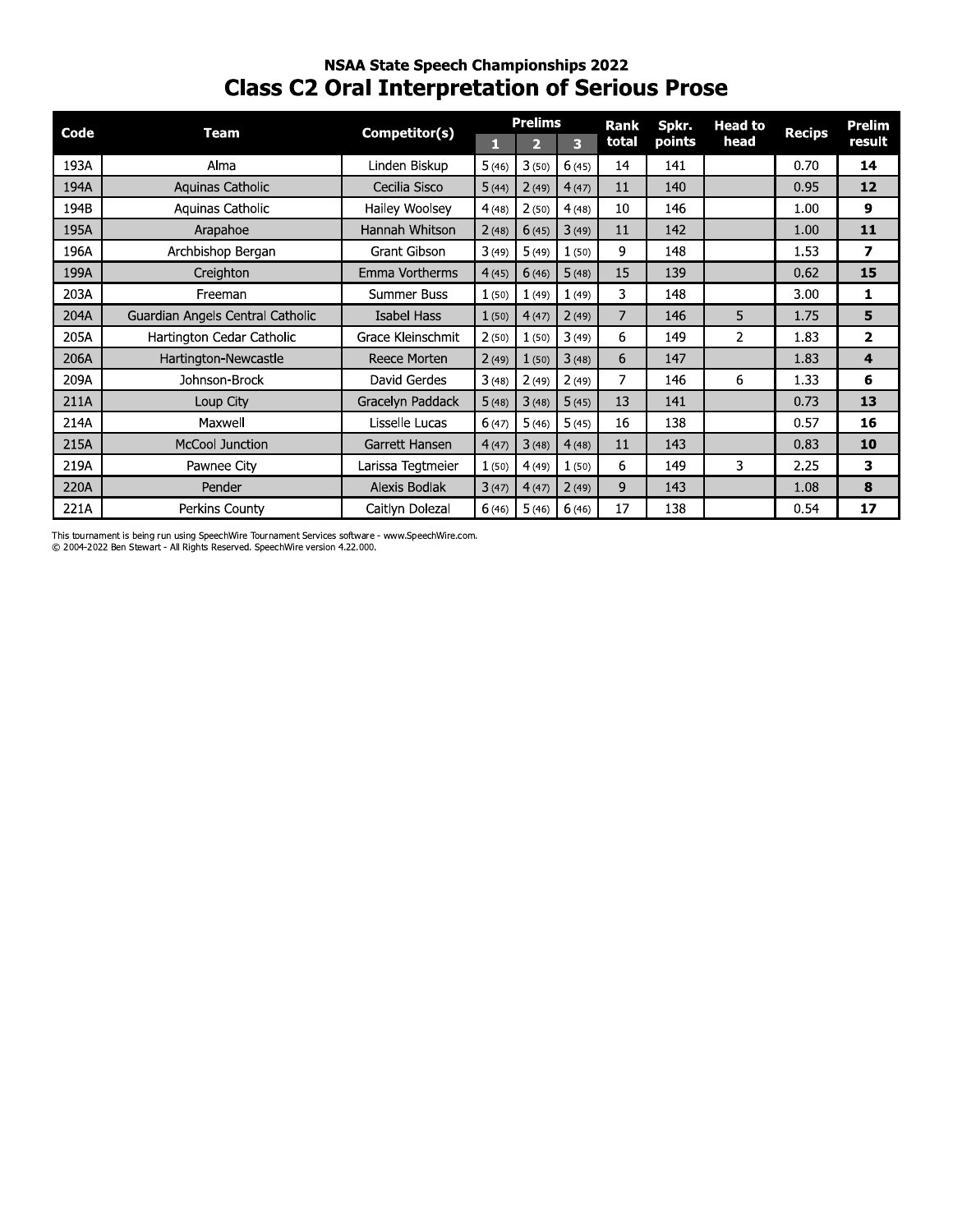# **NSAA State Speech Championships 2022 Class C2 Oral Interpretation of Serious Prose**

| Code | <b>Team</b>                      | Competitor(s)     |       | <b>Prelims</b> |       | Rank  | Spkr.  | <b>Head to</b> |               | Prelim         |
|------|----------------------------------|-------------------|-------|----------------|-------|-------|--------|----------------|---------------|----------------|
|      |                                  |                   | П     | 2              | 3     | total | points | head           | <b>Recips</b> | result         |
| 193A | Alma                             | Linden Biskup     | 5(46) | 3(50)          | 6(45) | 14    | 141    |                | 0.70          | 14             |
| 194A | Aquinas Catholic                 | Cecilia Sisco     | 5(44) | 2(49)          | 4(47) | 11    | 140    |                | 0.95          | 12             |
| 194B | Aquinas Catholic                 | Hailey Woolsey    | 4(48) | 2(50)          | 4(48) | 10    | 146    |                | 1.00          | 9              |
| 195A | Arapahoe                         | Hannah Whitson    | 2(48) | 6(45)          | 3(49) | 11    | 142    |                | 1.00          | 11             |
| 196A | Archbishop Bergan                | Grant Gibson      | 3(49) | 5(49)          | 1(50) | 9     | 148    |                | 1.53          | 7              |
| 199A | Creighton                        | Emma Vortherms    | 4(45) | 6(46)          | 5(48) | 15    | 139    |                | 0.62          | 15             |
| 203A | Freeman                          | Summer Buss       | 1(50) | 1(49)          | 1(49) | 3     | 148    |                | 3.00          | 1              |
| 204A | Guardian Angels Central Catholic | Isabel Hass       | 1(50) | 4(47)          | 2(49) | 7     | 146    | 5              | 1.75          | 5              |
| 205A | Hartington Cedar Catholic        | Grace Kleinschmit | 2(50) | 1(50)          | 3(49) | 6     | 149    | $\overline{2}$ | 1.83          | $\mathbf{z}$   |
| 206A | Hartington-Newcastle             | Reece Morten      | 2(49) | 1(50)          | 3(48) | 6     | 147    |                | 1.83          | $\overline{4}$ |
| 209A | Johnson-Brock                    | David Gerdes      | 3(48) | 2(49)          | 2(49) | 7     | 146    | 6              | 1.33          | 6              |
| 211A | Loup City                        | Gracelyn Paddack  | 5(48) | 3(48)          | 5(45) | 13    | 141    |                | 0.73          | 13             |
| 214A | Maxwell                          | Lisselle Lucas    | 6(47) | 5(46)          | 5(45) | 16    | 138    |                | 0.57          | 16             |
| 215A | <b>McCool Junction</b>           | Garrett Hansen    | 4(47) | 3(48)          | 4(48) | 11    | 143    |                | 0.83          | 10             |
| 219A | Pawnee City                      | Larissa Tegtmeier | 1(50) | 4(49)          | 1(50) | 6     | 149    | 3              | 2.25          | 3              |
| 220A | Pender                           | Alexis Bodlak     | 3(47) | 4(47)          | 2(49) | 9     | 143    |                | 1.08          | 8              |
| 221A | Perkins County                   | Caitlyn Dolezal   | 6(46) | 5(46)          | 6(46) | 17    | 138    |                | 0.54          | 17             |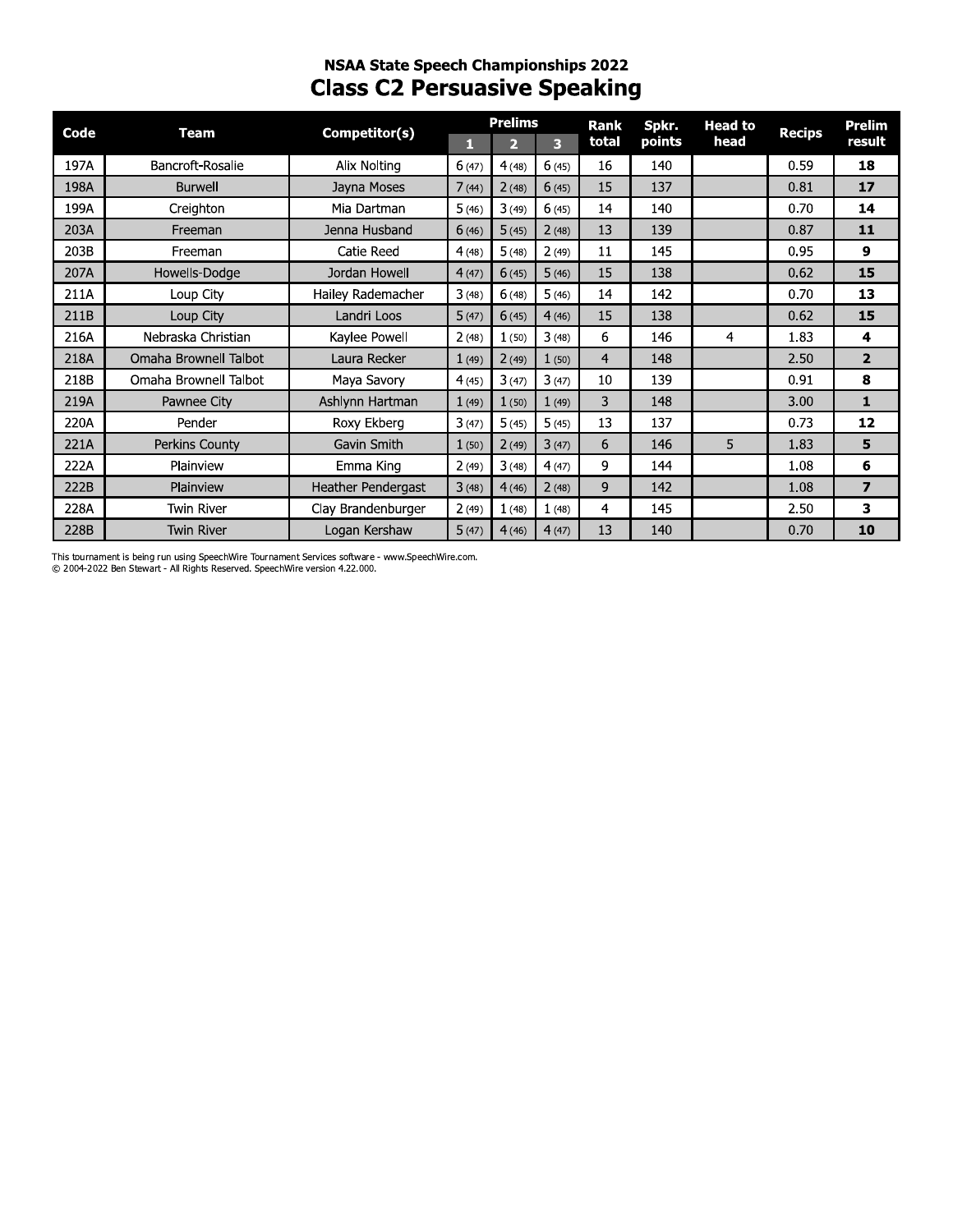# **NSAA State Speech Championships 2022 Class C2 Persuasive Speaking**

| Code | <b>Team</b>           | Competitor(s)             |       | <b>Prelims</b> |       | <b>Rank</b>    | Spkr.  | <b>Head to</b> | <b>Recips</b> | <b>Prelim</b>  |
|------|-----------------------|---------------------------|-------|----------------|-------|----------------|--------|----------------|---------------|----------------|
|      |                       |                           | П     | 2              | 3     | total          | points | head           |               | result         |
| 197A | Bancroft-Rosalie      | Alix Nolting              | 6(47) | 4(48)          | 6(45) | 16             | 140    |                | 0.59          | 18             |
| 198A | <b>Burwell</b>        | Jayna Moses               | 7(44) | 2(48)          | 6(45) | 15             | 137    |                | 0.81          | 17             |
| 199A | Creighton             | Mia Dartman               | 5(46) | 3(49)          | 6(45) | 14             | 140    |                | 0.70          | 14             |
| 203A | Freeman               | Jenna Husband             | 6(46) | 5(45)          | 2(48) | 13             | 139    |                | 0.87          | 11             |
| 203B | Freeman               | Catie Reed                | 4(48) | 5(48)          | 2(49) | 11             | 145    |                | 0.95          | 9              |
| 207A | Howells-Dodge         | Jordan Howell             | 4(47) | 6(45)          | 5(46) | 15             | 138    |                | 0.62          | 15             |
| 211A | Loup City             | Hailey Rademacher         | 3(48) | 6(48)          | 5(46) | 14             | 142    |                | 0.70          | 13             |
| 211B | Loup City             | Landri Loos               | 5(47) | 6(45)          | 4(46) | 15             | 138    |                | 0.62          | 15             |
| 216A | Nebraska Christian    | Kaylee Powell             | 2(48) | 1(50)          | 3(48) | 6              | 146    | 4              | 1.83          | 4              |
| 218A | Omaha Brownell Talbot | Laura Recker              | 1(49) | 2(49)          | 1(50) | $\overline{4}$ | 148    |                | 2.50          | $\overline{2}$ |
| 218B | Omaha Brownell Talbot | Maya Savory               | 4(45) | 3(47)          | 3(47) | 10             | 139    |                | 0.91          | 8              |
| 219A | Pawnee City           | Ashlynn Hartman           | 1(49) | 1(50)          | 1(49) | 3              | 148    |                | 3.00          | $\mathbf{1}$   |
| 220A | Pender                | Roxy Ekberg               | 3(47) | 5(45)          | 5(45) | 13             | 137    |                | 0.73          | 12             |
| 221A | Perkins County        | Gavin Smith               | 1(50) | 2(49)          | 3(47) | 6              | 146    | 5              | 1.83          | 5              |
| 222A | Plainview             | Emma King                 | 2(49) | 3(48)          | 4(47) | 9              | 144    |                | 1.08          | 6              |
| 222B | Plainview             | <b>Heather Pendergast</b> | 3(48) | 4(46)          | 2(48) | 9              | 142    |                | 1.08          | $\overline{z}$ |
| 228A | <b>Twin River</b>     | Clay Brandenburger        | 2(49) | 1(48)          | 1(48) | 4              | 145    |                | 2.50          | 3              |
| 228B | <b>Twin River</b>     | Logan Kershaw             | 5(47) | 4(46)          | 4(47) | 13             | 140    |                | 0.70          | 10             |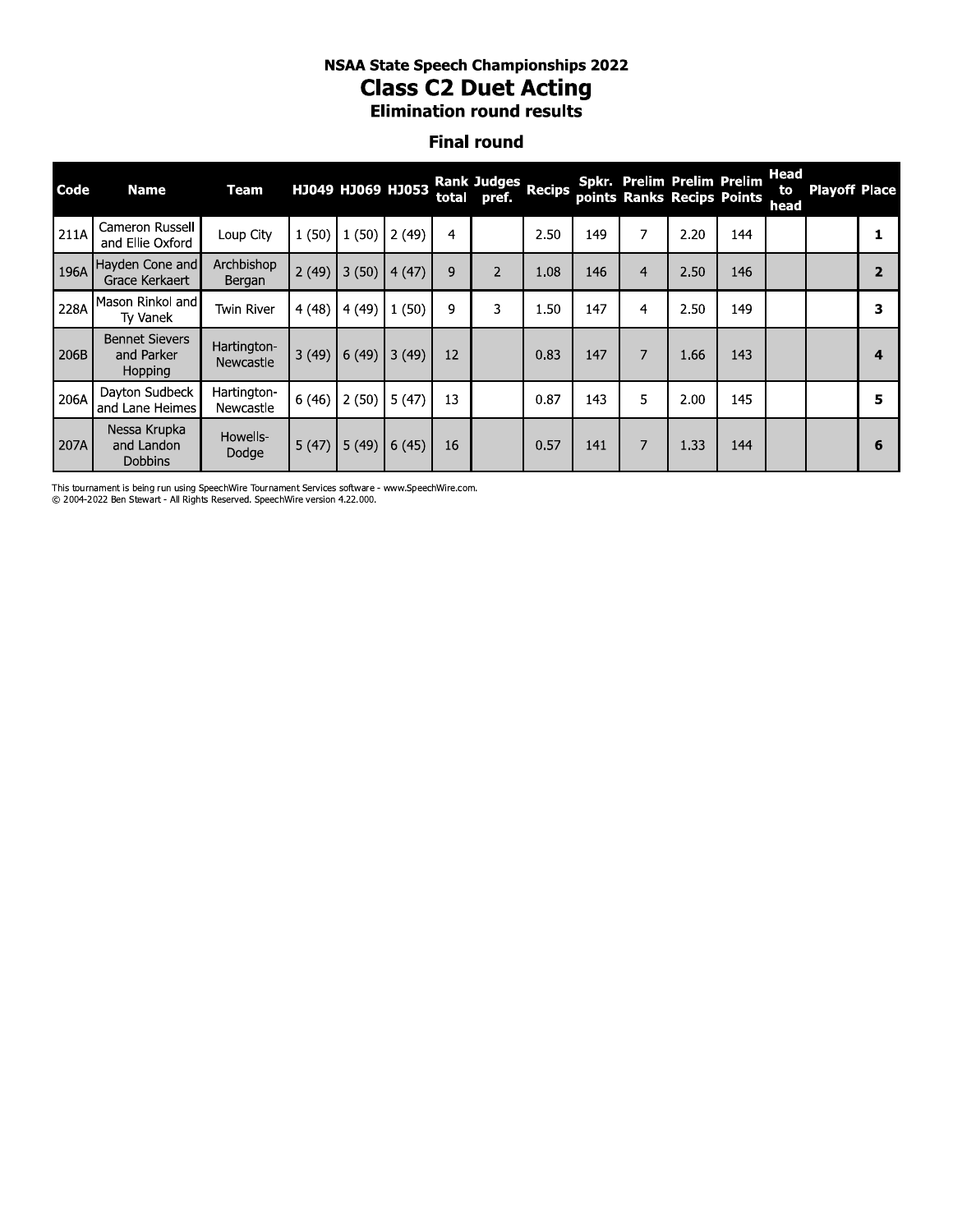# **NSAA State Speech Championships 2022 Class C2 Duet Acting**

**Elimination round results** 

#### **Final round**

| Code | <b>Name</b>                                    | Team                     |       | НЈ049 НЈ069 НЈ053 |       |    | Rank Judges Recips<br>total pref. |      |     |                | Spkr. Prelim Prelim Prelim<br>points Ranks Recips Points |     | Head<br>to<br>head | <b>Playoff Place</b> |   |
|------|------------------------------------------------|--------------------------|-------|-------------------|-------|----|-----------------------------------|------|-----|----------------|----------------------------------------------------------|-----|--------------------|----------------------|---|
| 211A | Cameron Russell<br>and Ellie Oxford            | Loup City                | 1(50) | 1(50)             | 2(49) | 4  |                                   | 2.50 | 149 | 7              | 2.20                                                     | 144 |                    |                      |   |
| 196A | Hayden Cone and<br>Grace Kerkaert              | Archbishop<br>Bergan     | 2(49) | 3(50)             | 4(47) | 9  | $\overline{2}$                    | 1.08 | 146 | $\overline{4}$ | 2.50                                                     | 146 |                    |                      |   |
| 228A | Mason Rinkol and<br>Ty Vanek                   | Twin River               | 4(48) | 4(49)             | 1(50) | 9  | 3                                 | 1.50 | 147 | $\overline{4}$ | 2.50                                                     | 149 |                    |                      | з |
| 206B | <b>Bennet Sievers</b><br>and Parker<br>Hopping | Hartington-<br>Newcastle | 3(49) | 6(49)             | 3(49) | 12 |                                   | 0.83 | 147 | 7              | 1.66                                                     | 143 |                    |                      | 4 |
| 206A | Dayton Sudbeck<br>and Lane Heimes              | Hartington-<br>Newcastle | 6(46) | 2(50)             | 5(47) | 13 |                                   | 0.87 | 143 | 5              | 2.00                                                     | 145 |                    |                      | 5 |
| 207A | Nessa Krupka<br>and Landon<br><b>Dobbins</b>   | Howells-<br>Dodge        | 5(47) | 5(49)             | 6(45) | 16 |                                   | 0.57 | 141 | 7              | 1.33                                                     | 144 |                    |                      | 6 |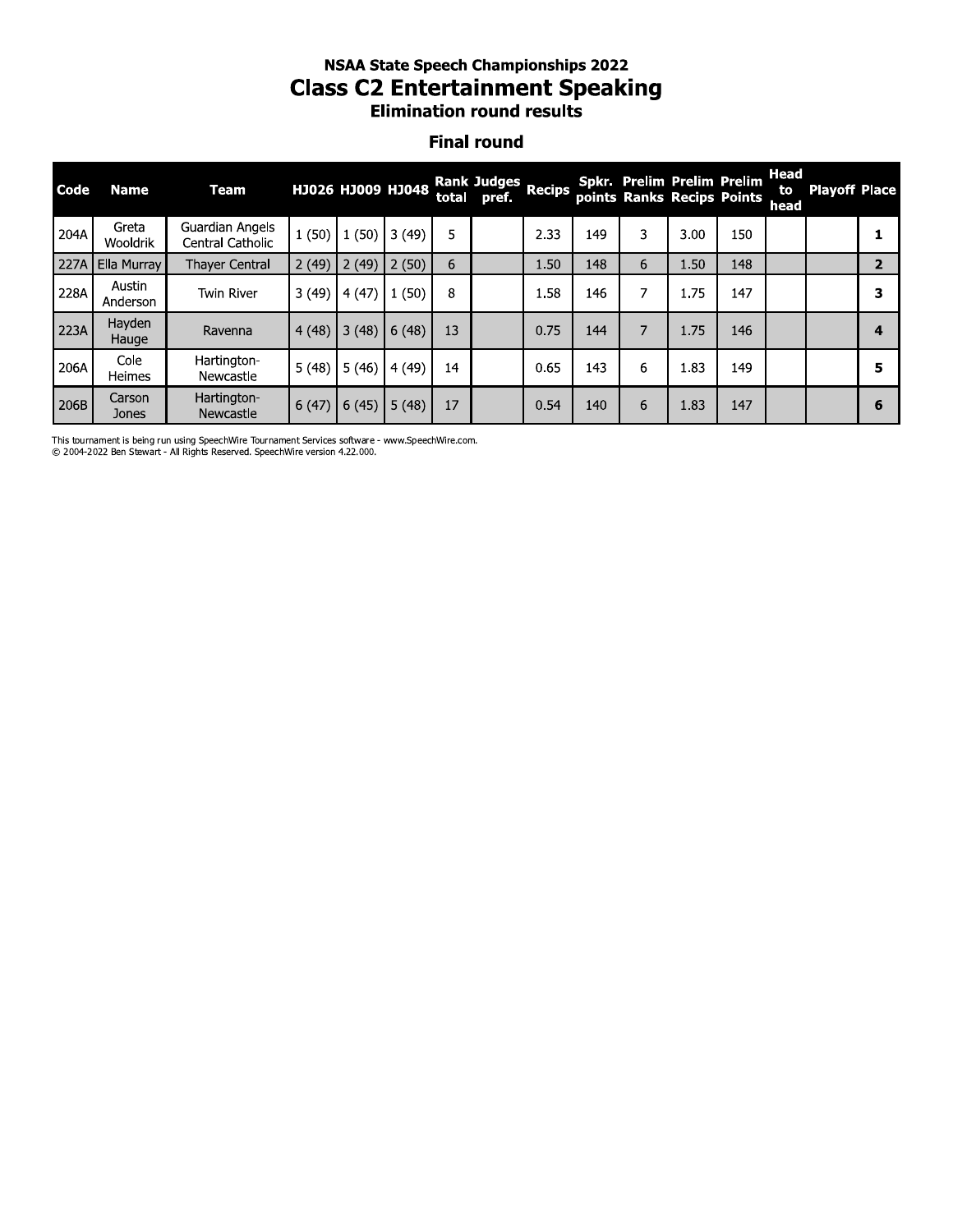#### nsaa state speecn Championships 2022 Class C2 Entertainment Speaking **Elimination round results**

#### **Final round**

|      |                    |                                     |       |                   |       |       |                             |      | <b>Elimination round results</b> |                |                                   |                            |                    |                      |                |
|------|--------------------|-------------------------------------|-------|-------------------|-------|-------|-----------------------------|------|----------------------------------|----------------|-----------------------------------|----------------------------|--------------------|----------------------|----------------|
|      |                    |                                     |       |                   |       |       | <b>Final round</b>          |      |                                  |                |                                   |                            |                    |                      |                |
| Code | <b>Name</b>        | <b>Team</b>                         |       | НЈ026 НЈ009 НЈ048 |       | total | Rank Judges Recips<br>pref. |      |                                  |                | <b>Spkr. Prelim Prelim Prelim</b> | points Ranks Recips Points | Head<br>to<br>head | <b>Playoff Place</b> |                |
| 204A | Greta<br>Wooldrik  | Guardian Angels<br>Central Catholic |       | $1(50)$ $1(50)$   | 3(49) | 5     |                             | 2.33 | 149                              | 3              | 3.00                              | 150                        |                    |                      | 1              |
| 227A | Ella Murray        | <b>Thayer Central</b>               | 2(49) | 2(49)             | 2(50) | 6     |                             | 1.50 | 148                              | 6              | 1.50                              | 148                        |                    |                      | $\overline{2}$ |
| 228A | Austin<br>Anderson | <b>Twin River</b>                   | 3(49) | 4(47)             | 1(50) | 8     |                             | 1.58 | 146                              | 7              | 1.75                              | 147                        |                    |                      | 3              |
| 223A | Hayden<br>Hauge    | Ravenna                             | 4(48) | 3(48)             | 6(48) | 13    |                             | 0.75 | 144                              | $\overline{7}$ | 1.75                              | 146                        |                    |                      | 4              |
| 206A | Cole<br>Heimes     | Hartington-<br>Newcastle            | 5(48) | 5(46)             | 4(49) | 14    |                             | 0.65 | 143                              | 6              | 1.83                              | 149                        |                    |                      | 5              |
| 206B | Carson<br>Jones    | Hartington-<br>Newcastle            | 6(47) | 6(45)             | 5(48) | 17    |                             | 0.54 | 140                              | 6              | 1.83                              | 147                        |                    |                      | 6              |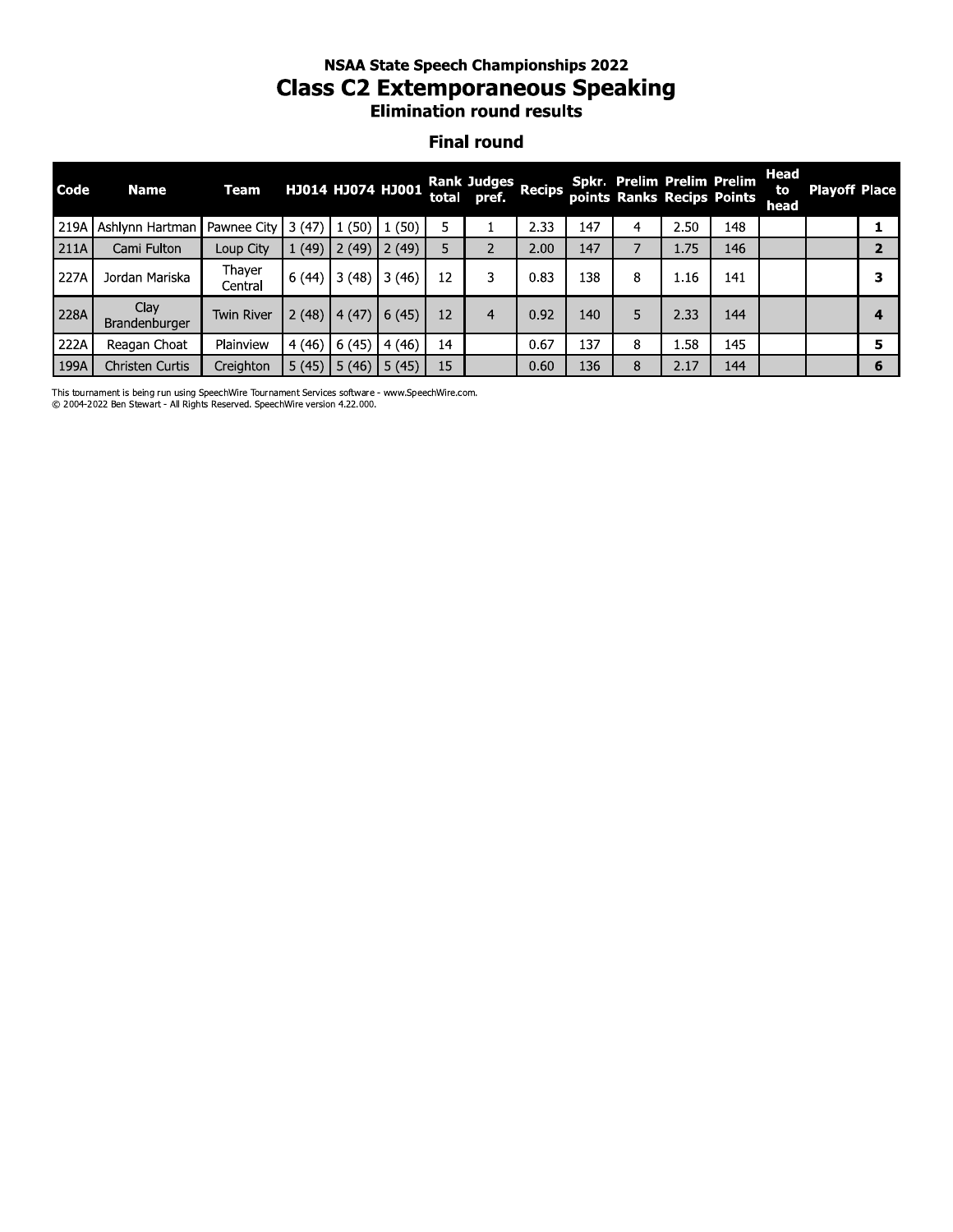#### nsaa state speecn Championships 2022 Class C2 Extemporaneous Speaking **Elimination round results**

#### **Final round**

|                    | <b>Elimination round results</b> |                   |       |                       |       |       |                             |      |     |                |                            |                            |                    |                      |              |
|--------------------|----------------------------------|-------------------|-------|-----------------------|-------|-------|-----------------------------|------|-----|----------------|----------------------------|----------------------------|--------------------|----------------------|--------------|
| <b>Final round</b> |                                  |                   |       |                       |       |       |                             |      |     |                |                            |                            |                    |                      |              |
| Code               | <b>Name</b>                      | <b>Team</b>       |       | НЈ014 НЈ074 НЈ001     |       | total | Rank Judges Recips<br>pref. |      |     |                | Spkr. Prelim Prelim Prelim | points Ranks Recips Points | Head<br>to<br>head | <b>Playoff Place</b> |              |
| 219A               | Ashlynn Hartman   Pawnee City    |                   |       | $3(47)$ $1(50)$       | 1(50) | 5     |                             | 2.33 | 147 | $\overline{4}$ | 2.50                       | 148                        |                    |                      | 1            |
| 211A               | Cami Fulton                      | Loup City         |       | $1(49)$ 2(49)         | 2(49) | 5     | 2                           | 2.00 | 147 | $\overline{7}$ | 1.75                       | 146                        |                    |                      | $\mathbf{2}$ |
| 227A               | Jordan Mariska                   | Thayer<br>Central |       | $6(44)$ 3 (48)        | 3(46) | 12    | 3                           | 0.83 | 138 | 8              | 1.16                       | 141                        |                    |                      | 3            |
| 228A               | Clay<br>Brandenburger            | <b>Twin River</b> |       | $2(48)$   4(47)       | 6(45) | 12    | $\overline{4}$              | 0.92 | 140 | 5              | 2.33                       | 144                        |                    |                      | 4            |
| 222A               | Reagan Choat                     | Plainview         | 4(46) | 6(45)                 | 4(46) | 14    |                             | 0.67 | 137 | 8              | 1.58                       | 145                        |                    |                      | 5.           |
| 199A               | <b>Christen Curtis</b>           | Creighton         |       | $5(45)$ 5 (46) 5 (45) |       | 15    |                             | 0.60 | 136 | 8              | 2.17                       | 144                        |                    |                      | 6            |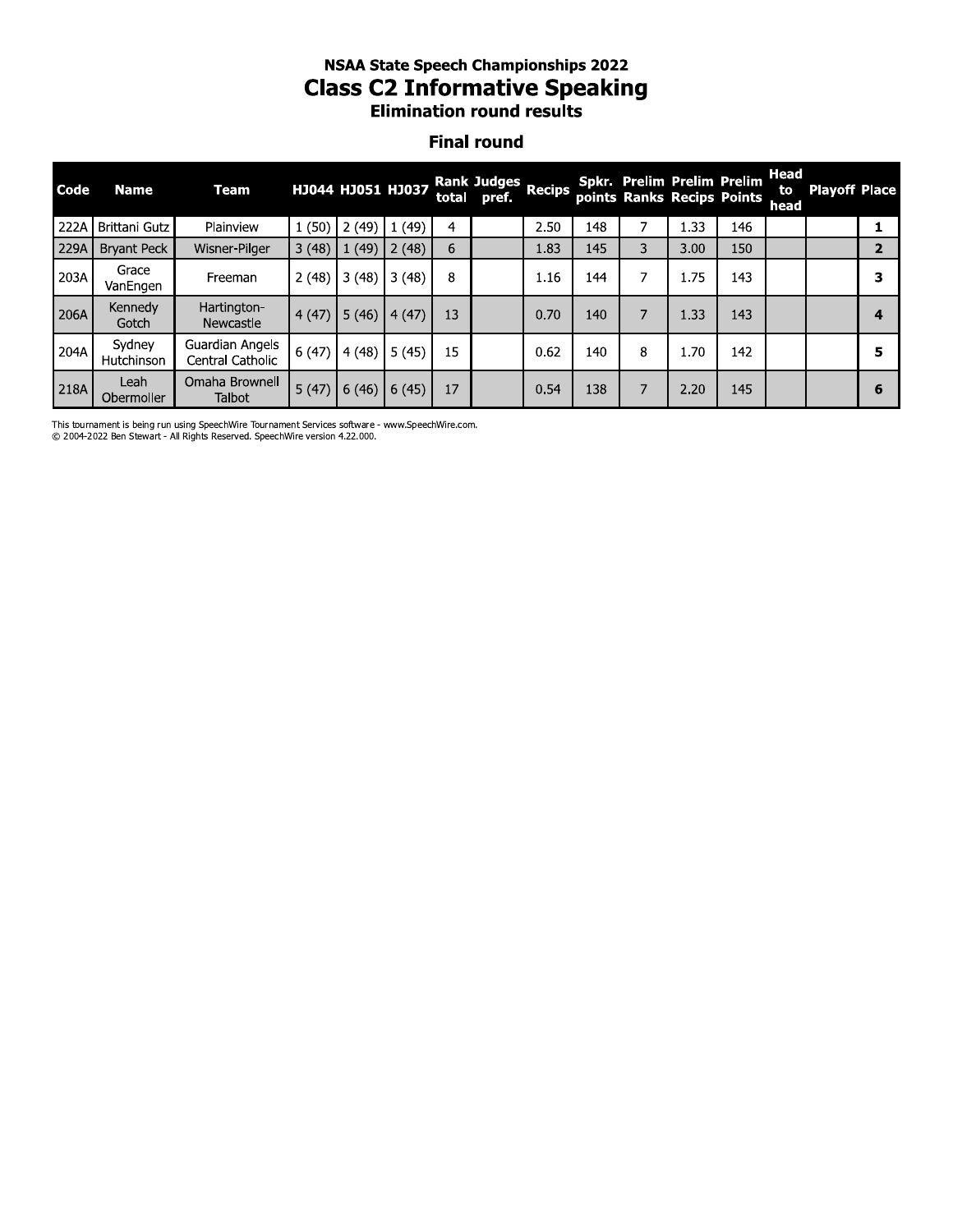## **NSAA State Speech Championships 2022 Class C2 Informative Speaking Elimination round results**

#### **Final round**

| Code | <b>Name</b>          | Team                                |       | HJ044 HJ051 HJ037 |       |    | <b>Rank Judges</b><br>total pref. | <b>Recips</b> |     |   | Spkr. Prelim Prelim Prelim<br>points Ranks Recips Points |     | Head<br>to<br>head | <b>Playoff Place</b> |   |
|------|----------------------|-------------------------------------|-------|-------------------|-------|----|-----------------------------------|---------------|-----|---|----------------------------------------------------------|-----|--------------------|----------------------|---|
| 222A | Brittani Gutz        | Plainview                           | 1(50) | 2(49)             | (49)  | 4  |                                   | 2.50          | 148 |   | 1.33                                                     | 146 |                    |                      |   |
| 229A | <b>Brvant Peck</b>   | Wisner-Pilger                       | 3(48) | (49)              | 2(48) | 6  |                                   | 1.83          | 145 | 3 | 3.00                                                     | 150 |                    |                      |   |
| 203A | Grace<br>VanEngen    | Freeman                             | 2(48) | 3(48)             | 3(48) | 8  |                                   | 1.16          | 144 | 7 | 1.75                                                     | 143 |                    |                      |   |
| 206A | Kennedy<br>Gotch     | Hartington-<br>Newcastle            | 4(47) | 5(46)             | (47)  | 13 |                                   | 0.70          | 140 | 7 | 1.33                                                     | 143 |                    |                      | 4 |
| 204A | Sydney<br>Hutchinson | Guardian Angels<br>Central Catholic | 6(47) | 4(48)             | 5(45) | 15 |                                   | 0.62          | 140 | 8 | 1.70                                                     | 142 |                    |                      | 5 |
| 218A | Leah<br>Obermoller   | Omaha Brownell<br>Talbot            | 5(47) | 6(46)             | 6(45) | 17 |                                   | 0.54          | 138 | 7 | 2.20                                                     | 145 |                    |                      | 6 |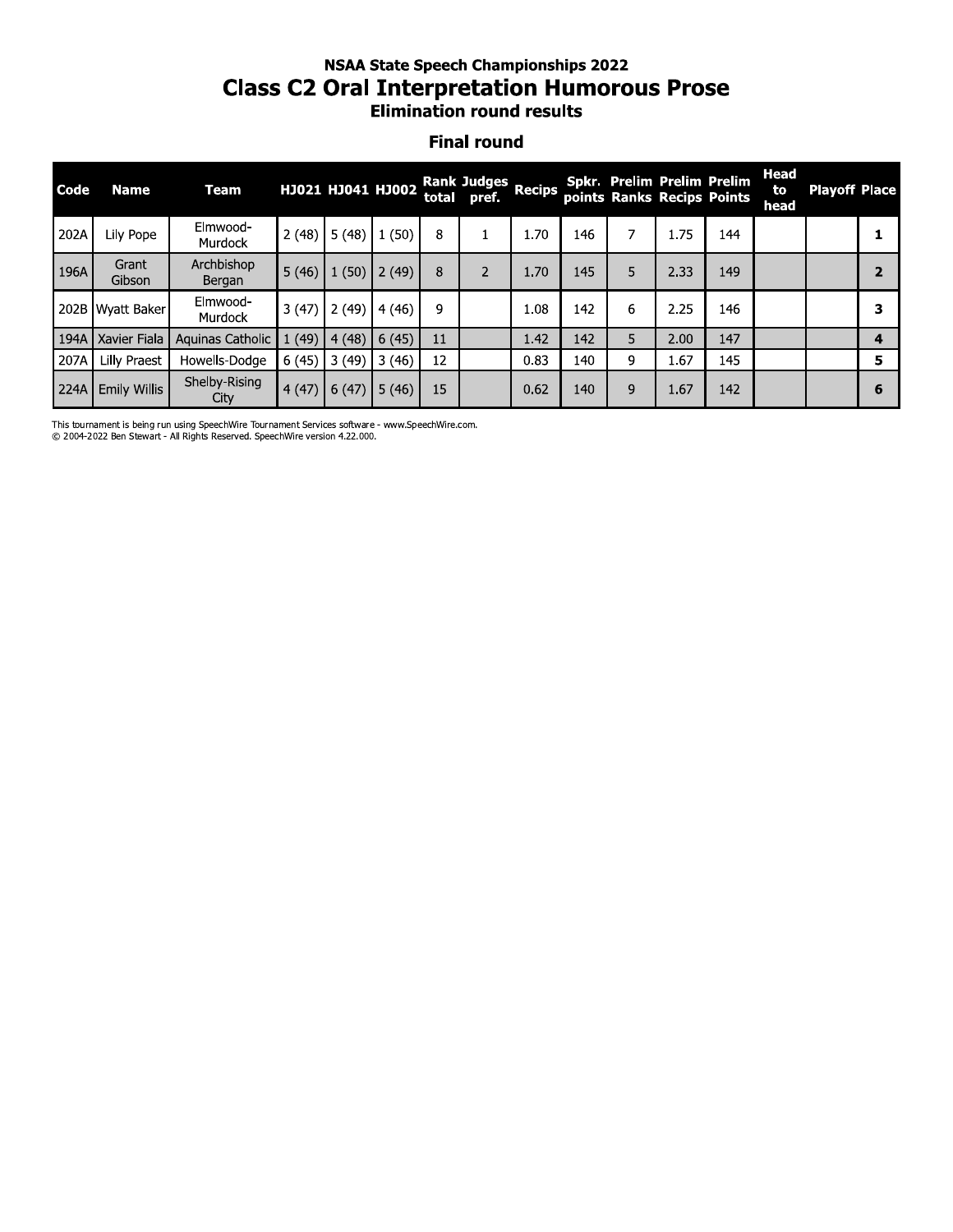#### **NSAA State Speech Championships 2022 Class C2 Oral Interpretation Humorous Prose Elimination round results**

#### **Final round**

| Code | <b>Name</b>         | Team                  |       | HJ021 HJ041 HJ002 |       |    | <b>Rank Judges</b><br>total pref. | <b>Recips</b> |     |   | Spkr. Prelim Prelim Prelim | points Ranks Recips Points | Head<br>to<br>head | <b>Playoff Place</b> |   |
|------|---------------------|-----------------------|-------|-------------------|-------|----|-----------------------------------|---------------|-----|---|----------------------------|----------------------------|--------------------|----------------------|---|
| 202A | Lily Pope           | Elmwood-<br>Murdock   | 2(48) | 5(48)             | 1(50) | 8  |                                   | 1.70          | 146 |   | 1.75                       | 144                        |                    |                      |   |
| 196A | Grant<br>Gibson     | Archbishop<br>Bergan  | 5(46) | (50)              | 2(49) | 8  | $\overline{2}$                    | 1.70          | 145 | 5 | 2.33                       | 149                        |                    |                      |   |
|      | 202B Wyatt Baker    | Elmwood-<br>Murdock   | 3(47) | 2(49)             | 4(46) | 9  |                                   | 1.08          | 142 | 6 | 2.25                       | 146                        |                    |                      |   |
| 194A | Xavier Fiala        | Aquinas Catholic      | (49)  | 4(48)             | 6(45) | 11 |                                   | 1.42          | 142 | 5 | 2.00                       | 147                        |                    |                      |   |
| 207A | Lilly Praest        | Howells-Dodge         | 6(45) | 3(49)             | 3(46) | 12 |                                   | 0.83          | 140 | 9 | 1.67                       | 145                        |                    |                      | 5 |
| 224A | <b>Emily Willis</b> | Shelby-Rising<br>City | 4(47) | 6(47)             | 5(46) | 15 |                                   | 0.62          | 140 | 9 | 1.67                       | 142                        |                    |                      | 6 |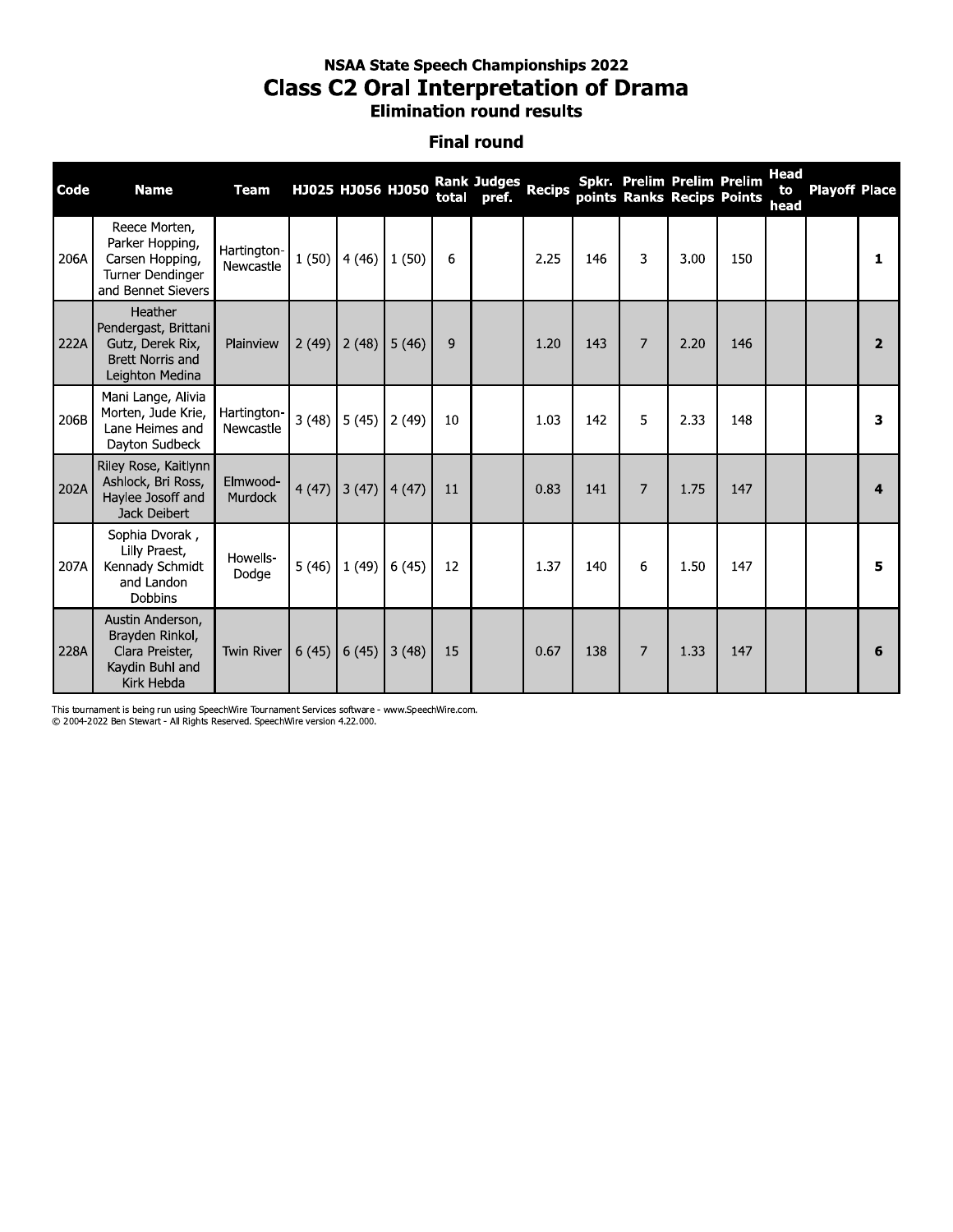## **NSAA State Speech Championships 2022 Class C2 Oral Interpretation of Drama** Elimination round results

#### **Final round**

| Code | <b>Name</b>                                                                                       | <b>Team</b>              |       | HJ025 HJ056 HJ050 |                 | total | Rank Judges Recips<br>pref. |      |     |                | Spkr. Prelim Prelim Prelim<br>points Ranks Recips Points |     | <b>Head</b><br>to<br>head | <b>Playoff Place</b> |                |
|------|---------------------------------------------------------------------------------------------------|--------------------------|-------|-------------------|-----------------|-------|-----------------------------|------|-----|----------------|----------------------------------------------------------|-----|---------------------------|----------------------|----------------|
| 206A | Reece Morten,<br>Parker Hopping,<br>Carsen Hopping,<br>Turner Dendinger<br>and Bennet Sievers     | Hartington-<br>Newcastle | 1(50) | 4(46)             | 1(50)           | 6     |                             | 2.25 | 146 | 3              | 3.00                                                     | 150 |                           |                      | 1              |
| 222A | Heather<br>Pendergast, Brittani<br>Gutz, Derek Rix,<br><b>Brett Norris and</b><br>Leighton Medina | Plainview                | 2(49) | 2(48)             | 5(46)           | 9     |                             | 1.20 | 143 | $\overline{7}$ | 2.20                                                     | 146 |                           |                      | $\overline{2}$ |
| 206B | Mani Lange, Alivia<br>Morten, Jude Krie,<br>Lane Heimes and<br>Dayton Sudbeck                     | Hartington-<br>Newcastle | 3(48) | 5(45)             | 2(49)           | 10    |                             | 1.03 | 142 | 5              | 2.33                                                     | 148 |                           |                      | 3              |
| 202A | Riley Rose, Kaitlynn<br>Ashlock, Bri Ross,<br>Haylee Josoff and<br>Jack Deibert                   | Elmwood-<br>Murdock      | 4(47) |                   | $3(47)$ $4(47)$ | 11    |                             | 0.83 | 141 | 7              | 1.75                                                     | 147 |                           |                      | $\mathbf{A}$   |
| 207A | Sophia Dvorak,<br>Lilly Praest,<br>Kennady Schmidt<br>and Landon<br>Dobbins                       | Howells-<br>Dodge        | 5(46) | 1(49)             | 6(45)           | 12    |                             | 1.37 | 140 | 6              | 1.50                                                     | 147 |                           |                      | 5              |
| 228A | Austin Anderson,<br>Brayden Rinkol,<br>Clara Preister,<br>Kaydin Buhl and<br>Kirk Hebda           | <b>Twin River</b>        | 6(45) | 6(45)             | 3(48)           | 15    |                             | 0.67 | 138 | 7              | 1.33                                                     | 147 |                           |                      | 6              |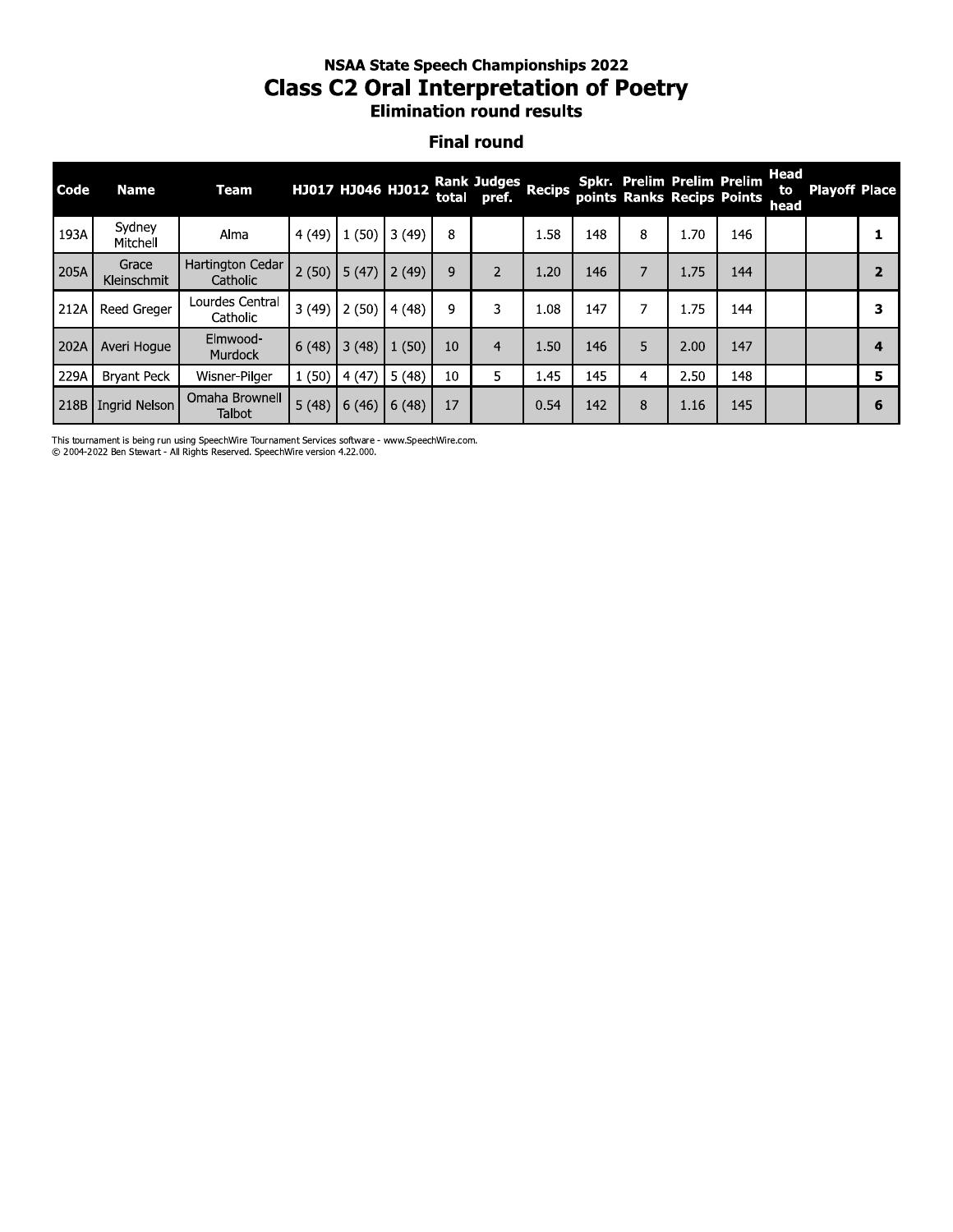## **NSAA State Speech Championships 2022 Class C2 Oral Interpretation of Poetry** Elimination round results

#### **Final round**

| <b>Code</b> | <b>Name</b>                 | Team                            |       | НЈ017 НЈ046 НЈ012 |       | total | Rank Judges Recips<br>pref. |      |     |   | Spkr. Prelim Prelim Prelim<br>points Ranks Recips Points |     | Head<br>to<br>head | <b>Playoff Place</b> |   |
|-------------|-----------------------------|---------------------------------|-------|-------------------|-------|-------|-----------------------------|------|-----|---|----------------------------------------------------------|-----|--------------------|----------------------|---|
| 193A        | Sydney<br>Mitchell          | Alma                            | 4(49) | 1(50)             | 3(49) | 8     |                             | 1.58 | 148 | 8 | 1.70                                                     | 146 |                    |                      |   |
| 205A        | Grace<br><b>Kleinschmit</b> | Hartington Cedar<br>Catholic    | 2(50) | 5(47)             | 2(49) | 9     | $\overline{\phantom{a}}$    | 1.20 | 146 | 7 | 1.75                                                     | 144 |                    |                      |   |
| 212A        | <b>Reed Greaer</b>          | Lourdes Central<br>Catholic     | 3(49) | 2(50)             | 4(48) | 9     | 3                           | 1.08 | 147 | 7 | 1.75                                                     | 144 |                    |                      | з |
| 202A        | Averi Hoque                 | Elmwood-<br>Murdock             | 6(48) | 3(48)             | 1(50) | 10    | 4                           | 1.50 | 146 | 5 | 2.00                                                     | 147 |                    |                      | 4 |
| 229A        | <b>Bryant Peck</b>          | Wisner-Pilger                   | 1(50) | 4(47)             | 5(48) | 10    |                             | 1.45 | 145 | 4 | 2.50                                                     | 148 |                    |                      | 5 |
| 218B        | <b>Ingrid Nelson</b>        | Omaha Brownell<br><b>Talbot</b> | 5(48) | 6(46)             | 6(48) | 17    |                             | 0.54 | 142 | 8 | 1.16                                                     | 145 |                    |                      | 6 |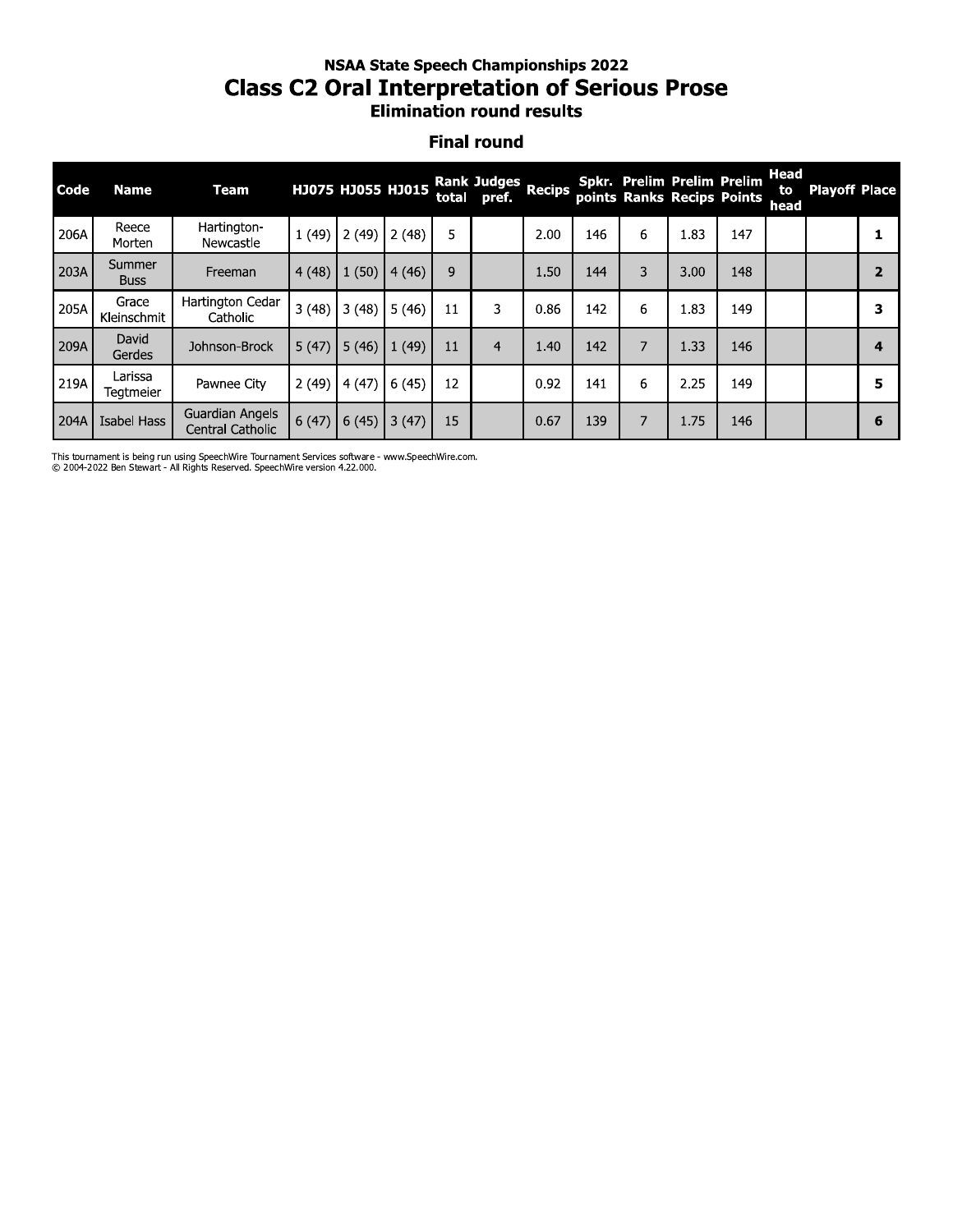#### nsaa state speecn Championships 2022 Class C2 Oral Interpretation of Serious Prose **Elimination round results**

#### **Final round**

|      |                       | <b>Class C2 Oral Interpretation of Serious Prose</b> |       |                   |       |    | <b>NSAA State Speech Championships 2022</b><br><b>Elimination round results</b> |               |     |                                                                 |      |     |                           |                      |                |
|------|-----------------------|------------------------------------------------------|-------|-------------------|-------|----|---------------------------------------------------------------------------------|---------------|-----|-----------------------------------------------------------------|------|-----|---------------------------|----------------------|----------------|
|      | <b>Final round</b>    |                                                      |       |                   |       |    |                                                                                 |               |     |                                                                 |      |     |                           |                      |                |
| Code | <b>Name</b>           | <b>Team</b>                                          |       | HJ075 HJ055 HJ015 |       |    | <b>Rank Judges</b><br>total pref.                                               | <b>Recips</b> |     | <b>Spkr. Prelim Prelim Prelim</b><br>points Ranks Recips Points |      |     | <b>Head</b><br>to<br>head | <b>Playoff Place</b> |                |
| 206A | Reece<br>Morten       | Hartington-<br>Newcastle                             | 1(49) | 2(49)             | 2(48) | 5  |                                                                                 | 2.00          | 146 | 6                                                               | 1.83 | 147 |                           |                      | 1              |
| 203A | Summer<br><b>Buss</b> | Freeman                                              | 4(48) | 1(50)             | 4(46) | 9  |                                                                                 | 1.50          | 144 | 3                                                               | 3.00 | 148 |                           |                      | $\overline{2}$ |
| 205A | Grace<br>Kleinschmit  | Hartington Cedar<br>Catholic                         | 3(48) | 3(48)             | 5(46) | 11 | 3                                                                               | 0.86          | 142 | 6                                                               | 1.83 | 149 |                           |                      | 3              |
| 209A | David<br>Gerdes       | Johnson-Brock                                        | 5(47) | 5(46)             | 1(49) | 11 | $\overline{4}$                                                                  | 1.40          | 142 | 7                                                               | 1.33 | 146 |                           |                      | 4              |
| 219A | Larissa<br>Tegtmeier  | Pawnee City                                          | 2(49) | 4(47)             | 6(45) | 12 |                                                                                 | 0.92          | 141 | 6                                                               | 2.25 | 149 |                           |                      | 5              |
| 204A | <b>Isabel Hass</b>    | Guardian Angels<br>Central Catholic                  | 6(47) | 6(45)             | 3(47) | 15 |                                                                                 | 0.67          | 139 | 7                                                               | 1.75 | 146 |                           |                      | 6              |